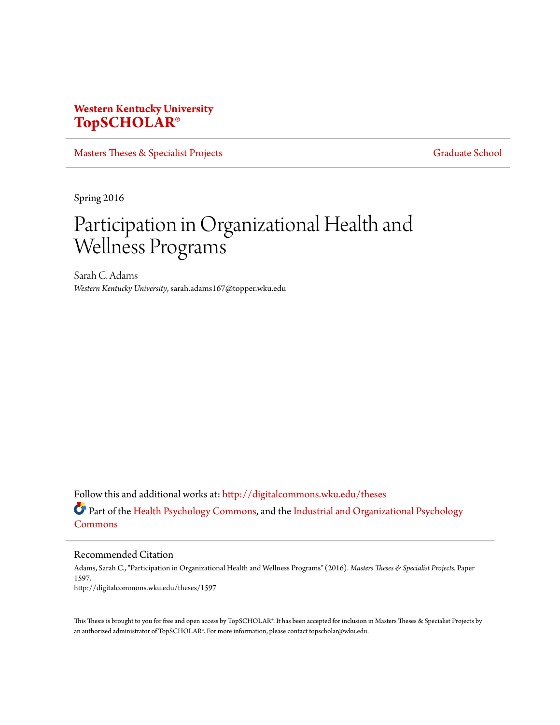# **Western Kentucky University [TopSCHOLAR®](http://digitalcommons.wku.edu?utm_source=digitalcommons.wku.edu%2Ftheses%2F1597&utm_medium=PDF&utm_campaign=PDFCoverPages)**

[Masters Theses & Specialist Projects](http://digitalcommons.wku.edu/theses?utm_source=digitalcommons.wku.edu%2Ftheses%2F1597&utm_medium=PDF&utm_campaign=PDFCoverPages) [Graduate School](http://digitalcommons.wku.edu/Graduate?utm_source=digitalcommons.wku.edu%2Ftheses%2F1597&utm_medium=PDF&utm_campaign=PDFCoverPages) Graduate School

Spring 2016

# Participation in Organizational Health and Wellness Programs

Sarah C. Adams *Western Kentucky University*, sarah.adams167@topper.wku.edu

Follow this and additional works at: [http://digitalcommons.wku.edu/theses](http://digitalcommons.wku.edu/theses?utm_source=digitalcommons.wku.edu%2Ftheses%2F1597&utm_medium=PDF&utm_campaign=PDFCoverPages) Part of the [Health Psychology Commons](http://network.bepress.com/hgg/discipline/411?utm_source=digitalcommons.wku.edu%2Ftheses%2F1597&utm_medium=PDF&utm_campaign=PDFCoverPages), and the [Industrial and Organizational Psychology](http://network.bepress.com/hgg/discipline/412?utm_source=digitalcommons.wku.edu%2Ftheses%2F1597&utm_medium=PDF&utm_campaign=PDFCoverPages) [Commons](http://network.bepress.com/hgg/discipline/412?utm_source=digitalcommons.wku.edu%2Ftheses%2F1597&utm_medium=PDF&utm_campaign=PDFCoverPages)

Recommended Citation

Adams, Sarah C., "Participation in Organizational Health and Wellness Programs" (2016). *Masters Theses & Specialist Projects.* Paper 1597. http://digitalcommons.wku.edu/theses/1597

This Thesis is brought to you for free and open access by TopSCHOLAR®. It has been accepted for inclusion in Masters Theses & Specialist Projects by an authorized administrator of TopSCHOLAR®. For more information, please contact topscholar@wku.edu.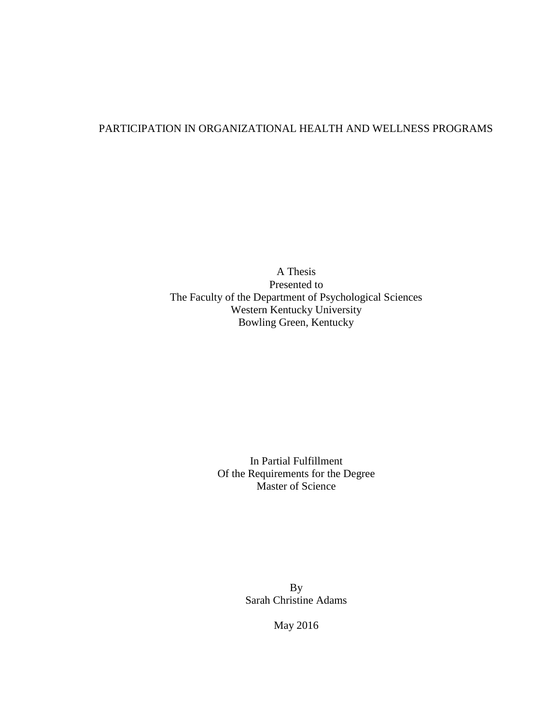# PARTICIPATION IN ORGANIZATIONAL HEALTH AND WELLNESS PROGRAMS

A Thesis Presented to The Faculty of the Department of Psychological Sciences Western Kentucky University Bowling Green, Kentucky

> In Partial Fulfillment Of the Requirements for the Degree Master of Science

> > By Sarah Christine Adams

> > > May 2016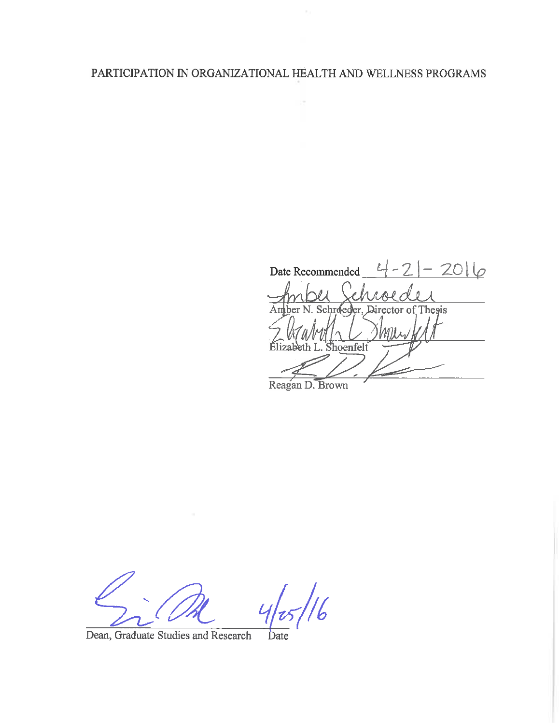# PARTICIPATION IN ORGANIZATIONAL HEALTH AND WELLNESS PROGRAMS

 $\sim$ 

 $-21 - 2016$ Date Recommended  $-$ Amber N. Schreeder, Director of Thesis Élizabeth L. Shoenfelt

Reagan D. Brown

 $\frac{1}{6}$ 

Dean, Graduate Studies and Research Date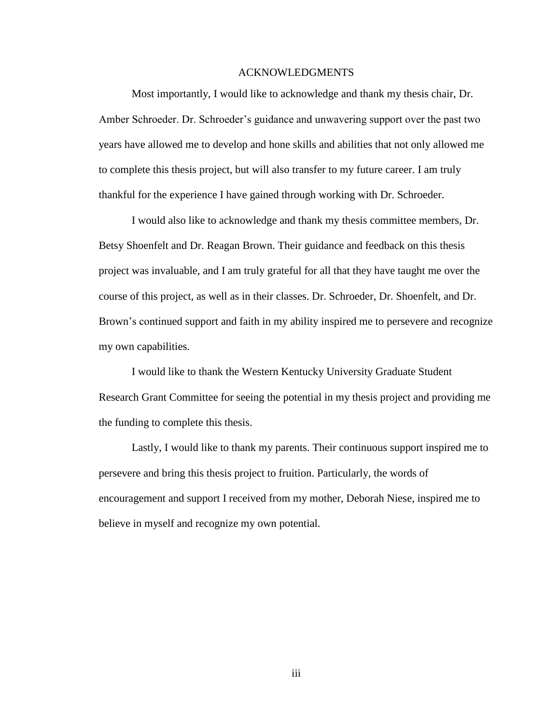#### ACKNOWLEDGMENTS

Most importantly, I would like to acknowledge and thank my thesis chair, Dr. Amber Schroeder. Dr. Schroeder's guidance and unwavering support over the past two years have allowed me to develop and hone skills and abilities that not only allowed me to complete this thesis project, but will also transfer to my future career. I am truly thankful for the experience I have gained through working with Dr. Schroeder.

I would also like to acknowledge and thank my thesis committee members, Dr. Betsy Shoenfelt and Dr. Reagan Brown. Their guidance and feedback on this thesis project was invaluable, and I am truly grateful for all that they have taught me over the course of this project, as well as in their classes. Dr. Schroeder, Dr. Shoenfelt, and Dr. Brown's continued support and faith in my ability inspired me to persevere and recognize my own capabilities.

I would like to thank the Western Kentucky University Graduate Student Research Grant Committee for seeing the potential in my thesis project and providing me the funding to complete this thesis.

Lastly, I would like to thank my parents. Their continuous support inspired me to persevere and bring this thesis project to fruition. Particularly, the words of encouragement and support I received from my mother, Deborah Niese, inspired me to believe in myself and recognize my own potential.

iii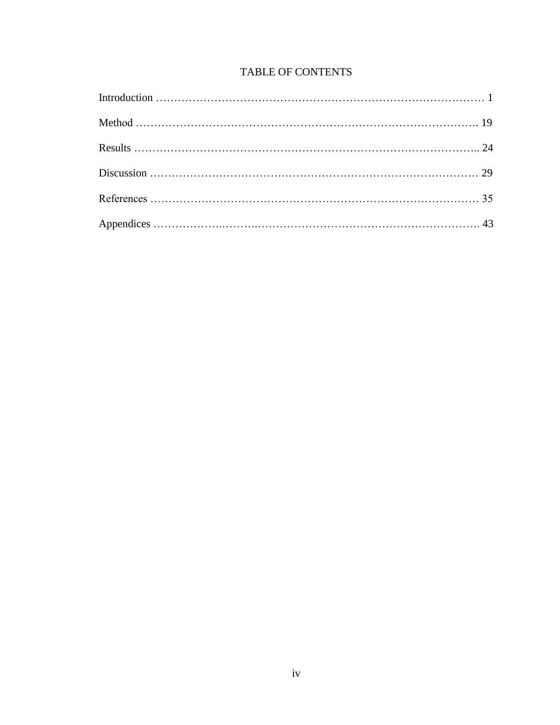# TABLE OF CONTENTS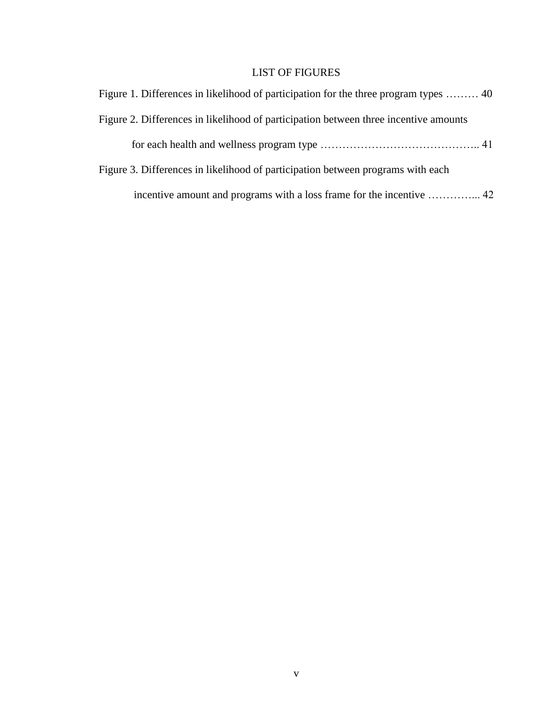# LIST OF FIGURES

| Figure 1. Differences in likelihood of participation for the three program types  40 |  |
|--------------------------------------------------------------------------------------|--|
| Figure 2. Differences in likelihood of participation between three incentive amounts |  |
|                                                                                      |  |
| Figure 3. Differences in likelihood of participation between programs with each      |  |
|                                                                                      |  |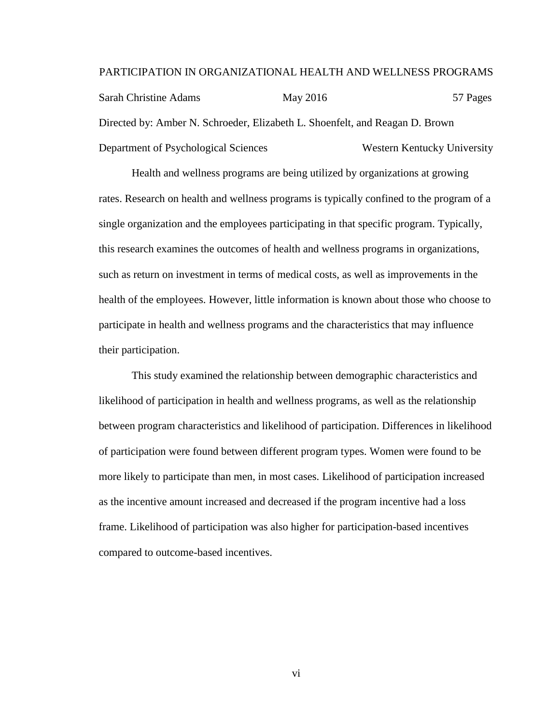#### PARTICIPATION IN ORGANIZATIONAL HEALTH AND WELLNESS PROGRAMS

Sarah Christine Adams May 2016 57 Pages Directed by: Amber N. Schroeder, Elizabeth L. Shoenfelt, and Reagan D. Brown Department of Psychological Sciences Western Kentucky University

Health and wellness programs are being utilized by organizations at growing rates. Research on health and wellness programs is typically confined to the program of a single organization and the employees participating in that specific program. Typically, this research examines the outcomes of health and wellness programs in organizations, such as return on investment in terms of medical costs, as well as improvements in the health of the employees. However, little information is known about those who choose to participate in health and wellness programs and the characteristics that may influence their participation.

This study examined the relationship between demographic characteristics and likelihood of participation in health and wellness programs, as well as the relationship between program characteristics and likelihood of participation. Differences in likelihood of participation were found between different program types. Women were found to be more likely to participate than men, in most cases. Likelihood of participation increased as the incentive amount increased and decreased if the program incentive had a loss frame. Likelihood of participation was also higher for participation-based incentives compared to outcome-based incentives.

vi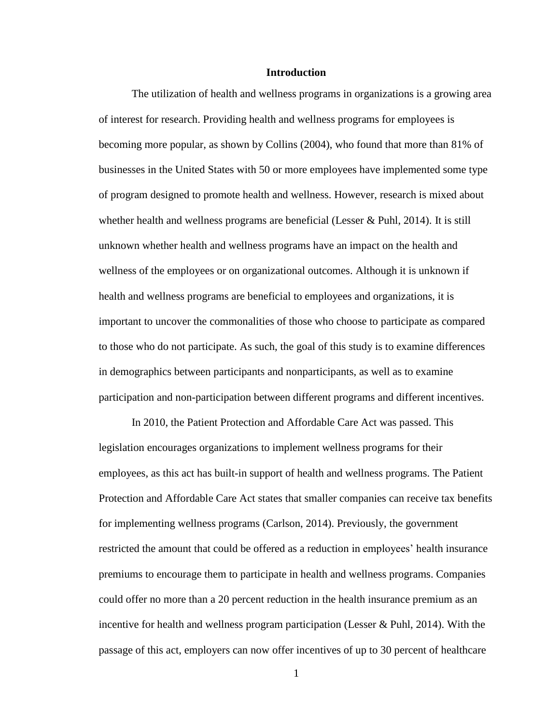#### **Introduction**

The utilization of health and wellness programs in organizations is a growing area of interest for research. Providing health and wellness programs for employees is becoming more popular, as shown by Collins (2004), who found that more than 81% of businesses in the United States with 50 or more employees have implemented some type of program designed to promote health and wellness. However, research is mixed about whether health and wellness programs are beneficial (Lesser & Puhl, 2014). It is still unknown whether health and wellness programs have an impact on the health and wellness of the employees or on organizational outcomes. Although it is unknown if health and wellness programs are beneficial to employees and organizations, it is important to uncover the commonalities of those who choose to participate as compared to those who do not participate. As such, the goal of this study is to examine differences in demographics between participants and nonparticipants, as well as to examine participation and non-participation between different programs and different incentives.

In 2010, the Patient Protection and Affordable Care Act was passed. This legislation encourages organizations to implement wellness programs for their employees, as this act has built-in support of health and wellness programs. The Patient Protection and Affordable Care Act states that smaller companies can receive tax benefits for implementing wellness programs (Carlson, 2014). Previously, the government restricted the amount that could be offered as a reduction in employees' health insurance premiums to encourage them to participate in health and wellness programs. Companies could offer no more than a 20 percent reduction in the health insurance premium as an incentive for health and wellness program participation (Lesser & Puhl, 2014). With the passage of this act, employers can now offer incentives of up to 30 percent of healthcare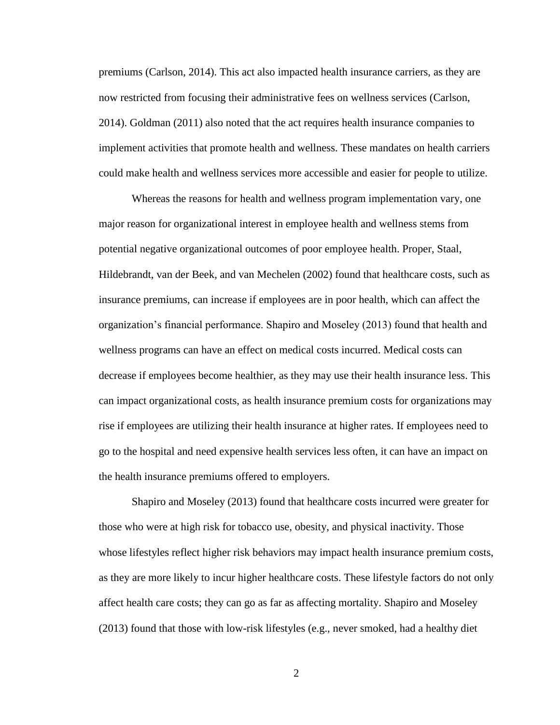premiums (Carlson, 2014). This act also impacted health insurance carriers, as they are now restricted from focusing their administrative fees on wellness services (Carlson, 2014). Goldman (2011) also noted that the act requires health insurance companies to implement activities that promote health and wellness. These mandates on health carriers could make health and wellness services more accessible and easier for people to utilize.

Whereas the reasons for health and wellness program implementation vary, one major reason for organizational interest in employee health and wellness stems from potential negative organizational outcomes of poor employee health. Proper, Staal, Hildebrandt, van der Beek, and van Mechelen (2002) found that healthcare costs, such as insurance premiums, can increase if employees are in poor health, which can affect the organization's financial performance. Shapiro and Moseley (2013) found that health and wellness programs can have an effect on medical costs incurred. Medical costs can decrease if employees become healthier, as they may use their health insurance less. This can impact organizational costs, as health insurance premium costs for organizations may rise if employees are utilizing their health insurance at higher rates. If employees need to go to the hospital and need expensive health services less often, it can have an impact on the health insurance premiums offered to employers.

Shapiro and Moseley (2013) found that healthcare costs incurred were greater for those who were at high risk for tobacco use, obesity, and physical inactivity. Those whose lifestyles reflect higher risk behaviors may impact health insurance premium costs, as they are more likely to incur higher healthcare costs. These lifestyle factors do not only affect health care costs; they can go as far as affecting mortality. Shapiro and Moseley (2013) found that those with low-risk lifestyles (e.g., never smoked, had a healthy diet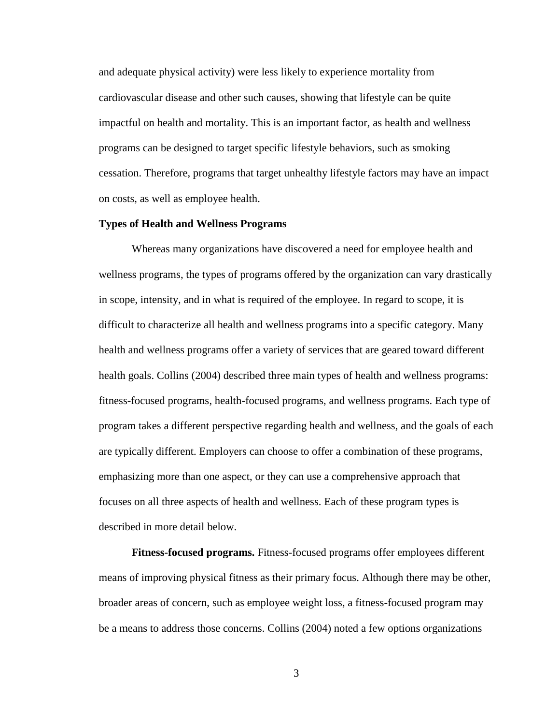and adequate physical activity) were less likely to experience mortality from cardiovascular disease and other such causes, showing that lifestyle can be quite impactful on health and mortality. This is an important factor, as health and wellness programs can be designed to target specific lifestyle behaviors, such as smoking cessation. Therefore, programs that target unhealthy lifestyle factors may have an impact on costs, as well as employee health.

#### **Types of Health and Wellness Programs**

Whereas many organizations have discovered a need for employee health and wellness programs, the types of programs offered by the organization can vary drastically in scope, intensity, and in what is required of the employee. In regard to scope, it is difficult to characterize all health and wellness programs into a specific category. Many health and wellness programs offer a variety of services that are geared toward different health goals. Collins (2004) described three main types of health and wellness programs: fitness-focused programs, health-focused programs, and wellness programs. Each type of program takes a different perspective regarding health and wellness, and the goals of each are typically different. Employers can choose to offer a combination of these programs, emphasizing more than one aspect, or they can use a comprehensive approach that focuses on all three aspects of health and wellness. Each of these program types is described in more detail below.

**Fitness-focused programs.** Fitness-focused programs offer employees different means of improving physical fitness as their primary focus. Although there may be other, broader areas of concern, such as employee weight loss, a fitness-focused program may be a means to address those concerns. Collins (2004) noted a few options organizations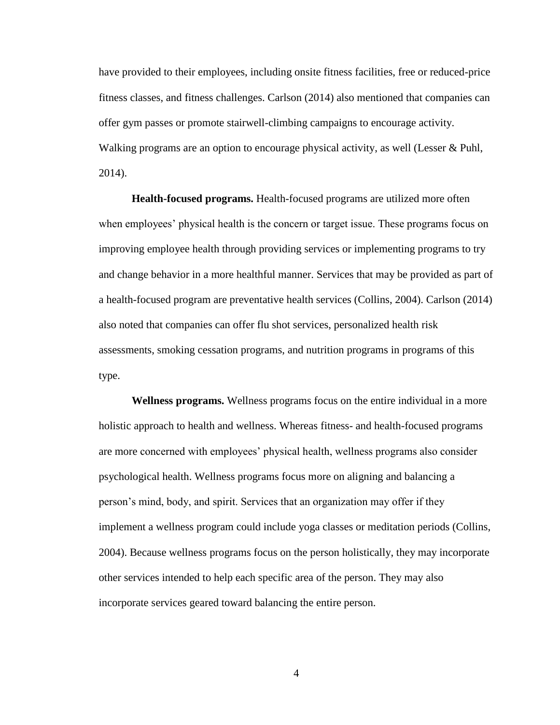have provided to their employees, including onsite fitness facilities, free or reduced-price fitness classes, and fitness challenges. Carlson (2014) also mentioned that companies can offer gym passes or promote stairwell-climbing campaigns to encourage activity. Walking programs are an option to encourage physical activity, as well (Lesser & Puhl, 2014).

**Health-focused programs.** Health-focused programs are utilized more often when employees' physical health is the concern or target issue. These programs focus on improving employee health through providing services or implementing programs to try and change behavior in a more healthful manner. Services that may be provided as part of a health-focused program are preventative health services (Collins, 2004). Carlson (2014) also noted that companies can offer flu shot services, personalized health risk assessments, smoking cessation programs, and nutrition programs in programs of this type.

**Wellness programs.** Wellness programs focus on the entire individual in a more holistic approach to health and wellness. Whereas fitness- and health-focused programs are more concerned with employees' physical health, wellness programs also consider psychological health. Wellness programs focus more on aligning and balancing a person's mind, body, and spirit. Services that an organization may offer if they implement a wellness program could include yoga classes or meditation periods (Collins, 2004). Because wellness programs focus on the person holistically, they may incorporate other services intended to help each specific area of the person. They may also incorporate services geared toward balancing the entire person.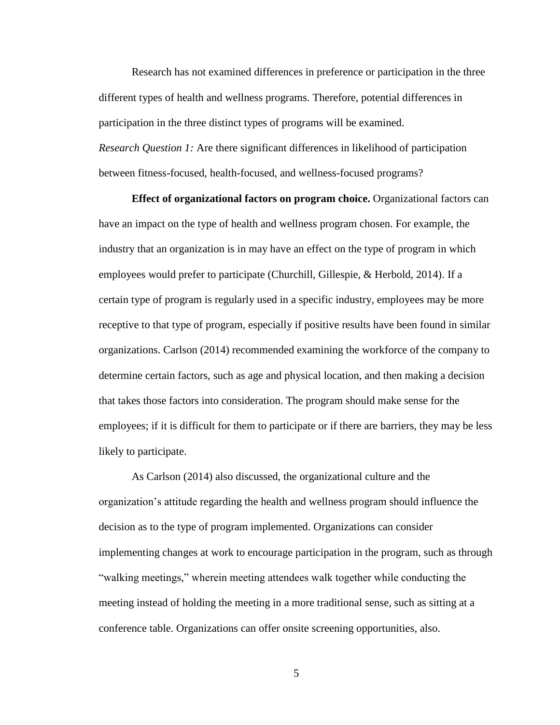Research has not examined differences in preference or participation in the three different types of health and wellness programs. Therefore, potential differences in participation in the three distinct types of programs will be examined. *Research Question 1:* Are there significant differences in likelihood of participation between fitness-focused, health-focused, and wellness-focused programs?

**Effect of organizational factors on program choice.** Organizational factors can have an impact on the type of health and wellness program chosen. For example, the industry that an organization is in may have an effect on the type of program in which employees would prefer to participate (Churchill, Gillespie, & Herbold, 2014). If a certain type of program is regularly used in a specific industry, employees may be more receptive to that type of program, especially if positive results have been found in similar organizations. Carlson (2014) recommended examining the workforce of the company to determine certain factors, such as age and physical location, and then making a decision that takes those factors into consideration. The program should make sense for the employees; if it is difficult for them to participate or if there are barriers, they may be less likely to participate.

As Carlson (2014) also discussed, the organizational culture and the organization's attitude regarding the health and wellness program should influence the decision as to the type of program implemented. Organizations can consider implementing changes at work to encourage participation in the program, such as through "walking meetings," wherein meeting attendees walk together while conducting the meeting instead of holding the meeting in a more traditional sense, such as sitting at a conference table. Organizations can offer onsite screening opportunities, also.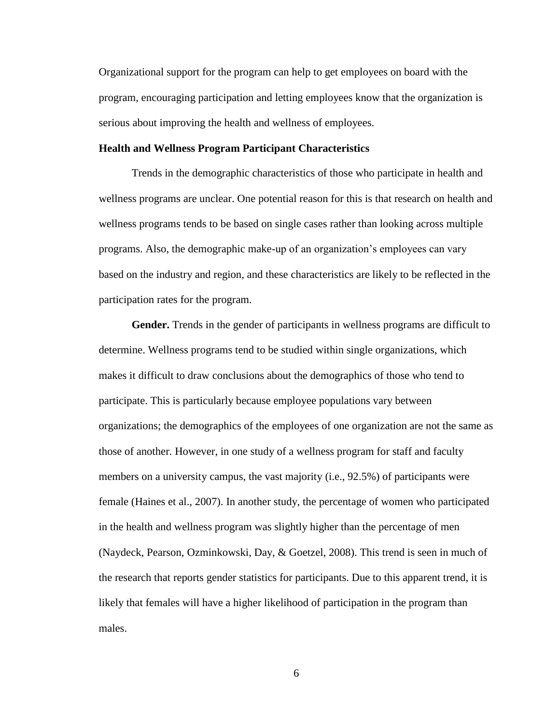Organizational support for the program can help to get employees on board with the program, encouraging participation and letting employees know that the organization is serious about improving the health and wellness of employees.

#### **Health and Wellness Program Participant Characteristics**

Trends in the demographic characteristics of those who participate in health and wellness programs are unclear. One potential reason for this is that research on health and wellness programs tends to be based on single cases rather than looking across multiple programs. Also, the demographic make-up of an organization's employees can vary based on the industry and region, and these characteristics are likely to be reflected in the participation rates for the program.

**Gender.** Trends in the gender of participants in wellness programs are difficult to determine. Wellness programs tend to be studied within single organizations, which makes it difficult to draw conclusions about the demographics of those who tend to participate. This is particularly because employee populations vary between organizations; the demographics of the employees of one organization are not the same as those of another. However, in one study of a wellness program for staff and faculty members on a university campus, the vast majority (i.e., 92.5%) of participants were female (Haines et al., 2007). In another study, the percentage of women who participated in the health and wellness program was slightly higher than the percentage of men (Naydeck, Pearson, Ozminkowski, Day, & Goetzel, 2008). This trend is seen in much of the research that reports gender statistics for participants. Due to this apparent trend, it is likely that females will have a higher likelihood of participation in the program than males.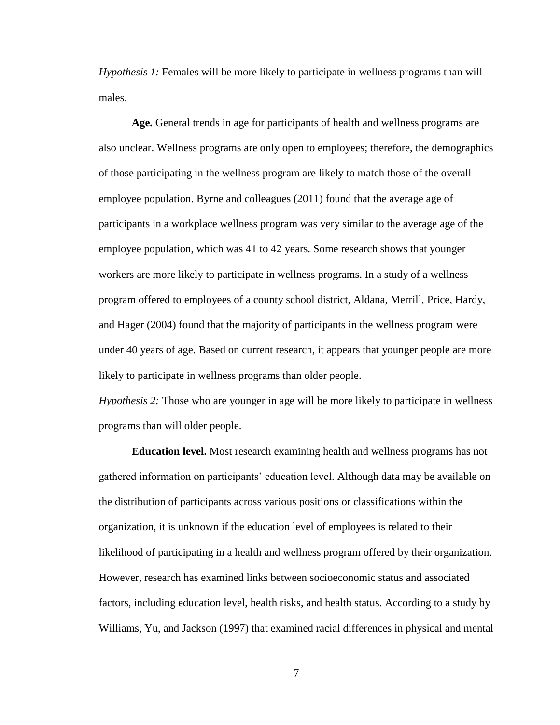*Hypothesis 1:* Females will be more likely to participate in wellness programs than will males.

**Age.** General trends in age for participants of health and wellness programs are also unclear. Wellness programs are only open to employees; therefore, the demographics of those participating in the wellness program are likely to match those of the overall employee population. Byrne and colleagues (2011) found that the average age of participants in a workplace wellness program was very similar to the average age of the employee population, which was 41 to 42 years. Some research shows that younger workers are more likely to participate in wellness programs. In a study of a wellness program offered to employees of a county school district, Aldana, Merrill, Price, Hardy, and Hager (2004) found that the majority of participants in the wellness program were under 40 years of age. Based on current research, it appears that younger people are more likely to participate in wellness programs than older people.

*Hypothesis 2:* Those who are younger in age will be more likely to participate in wellness programs than will older people.

**Education level.** Most research examining health and wellness programs has not gathered information on participants' education level. Although data may be available on the distribution of participants across various positions or classifications within the organization, it is unknown if the education level of employees is related to their likelihood of participating in a health and wellness program offered by their organization. However, research has examined links between socioeconomic status and associated factors, including education level, health risks, and health status. According to a study by Williams, Yu, and Jackson (1997) that examined racial differences in physical and mental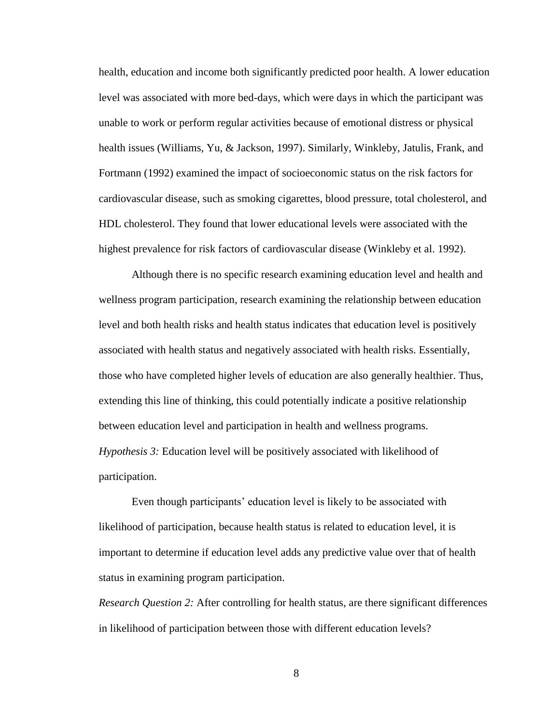health, education and income both significantly predicted poor health. A lower education level was associated with more bed-days, which were days in which the participant was unable to work or perform regular activities because of emotional distress or physical health issues (Williams, Yu, & Jackson, 1997). Similarly, Winkleby, Jatulis, Frank, and Fortmann (1992) examined the impact of socioeconomic status on the risk factors for cardiovascular disease, such as smoking cigarettes, blood pressure, total cholesterol, and HDL cholesterol. They found that lower educational levels were associated with the highest prevalence for risk factors of cardiovascular disease (Winkleby et al. 1992).

Although there is no specific research examining education level and health and wellness program participation, research examining the relationship between education level and both health risks and health status indicates that education level is positively associated with health status and negatively associated with health risks. Essentially, those who have completed higher levels of education are also generally healthier. Thus, extending this line of thinking, this could potentially indicate a positive relationship between education level and participation in health and wellness programs. *Hypothesis 3:* Education level will be positively associated with likelihood of participation.

Even though participants' education level is likely to be associated with likelihood of participation, because health status is related to education level, it is important to determine if education level adds any predictive value over that of health status in examining program participation.

*Research Question 2:* After controlling for health status, are there significant differences in likelihood of participation between those with different education levels?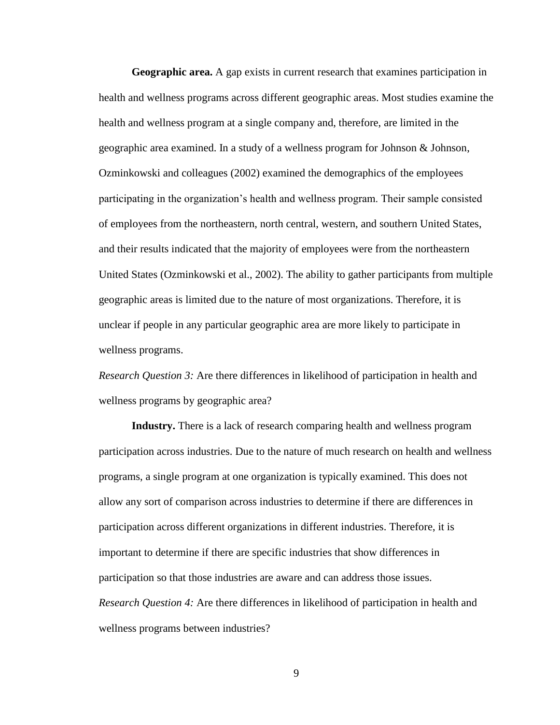**Geographic area.** A gap exists in current research that examines participation in health and wellness programs across different geographic areas. Most studies examine the health and wellness program at a single company and, therefore, are limited in the geographic area examined. In a study of a wellness program for Johnson & Johnson, Ozminkowski and colleagues (2002) examined the demographics of the employees participating in the organization's health and wellness program. Their sample consisted of employees from the northeastern, north central, western, and southern United States, and their results indicated that the majority of employees were from the northeastern United States (Ozminkowski et al., 2002). The ability to gather participants from multiple geographic areas is limited due to the nature of most organizations. Therefore, it is unclear if people in any particular geographic area are more likely to participate in wellness programs.

*Research Question 3:* Are there differences in likelihood of participation in health and wellness programs by geographic area?

**Industry.** There is a lack of research comparing health and wellness program participation across industries. Due to the nature of much research on health and wellness programs, a single program at one organization is typically examined. This does not allow any sort of comparison across industries to determine if there are differences in participation across different organizations in different industries. Therefore, it is important to determine if there are specific industries that show differences in participation so that those industries are aware and can address those issues. *Research Question 4:* Are there differences in likelihood of participation in health and wellness programs between industries?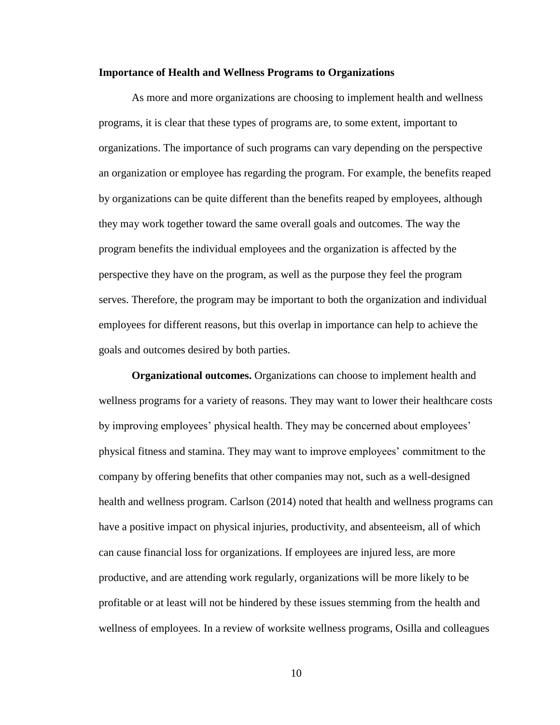#### **Importance of Health and Wellness Programs to Organizations**

As more and more organizations are choosing to implement health and wellness programs, it is clear that these types of programs are, to some extent, important to organizations. The importance of such programs can vary depending on the perspective an organization or employee has regarding the program. For example, the benefits reaped by organizations can be quite different than the benefits reaped by employees, although they may work together toward the same overall goals and outcomes. The way the program benefits the individual employees and the organization is affected by the perspective they have on the program, as well as the purpose they feel the program serves. Therefore, the program may be important to both the organization and individual employees for different reasons, but this overlap in importance can help to achieve the goals and outcomes desired by both parties.

**Organizational outcomes.** Organizations can choose to implement health and wellness programs for a variety of reasons. They may want to lower their healthcare costs by improving employees' physical health. They may be concerned about employees' physical fitness and stamina. They may want to improve employees' commitment to the company by offering benefits that other companies may not, such as a well-designed health and wellness program. Carlson (2014) noted that health and wellness programs can have a positive impact on physical injuries, productivity, and absenteeism, all of which can cause financial loss for organizations. If employees are injured less, are more productive, and are attending work regularly, organizations will be more likely to be profitable or at least will not be hindered by these issues stemming from the health and wellness of employees. In a review of worksite wellness programs, Osilla and colleagues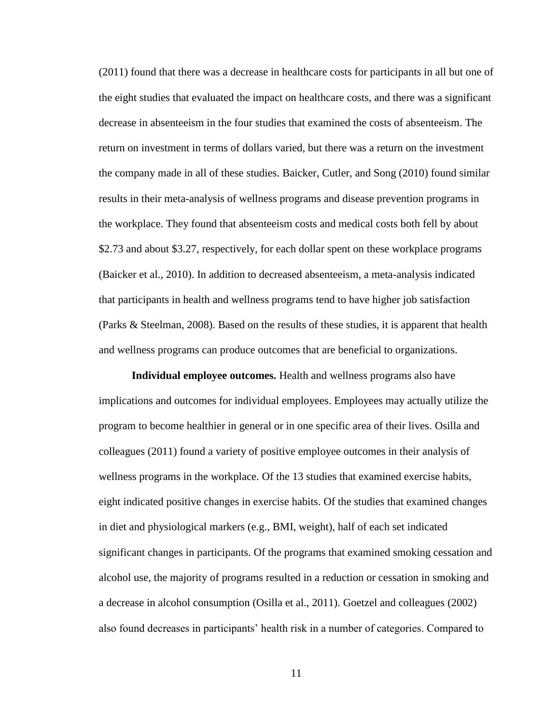(2011) found that there was a decrease in healthcare costs for participants in all but one of the eight studies that evaluated the impact on healthcare costs, and there was a significant decrease in absenteeism in the four studies that examined the costs of absenteeism. The return on investment in terms of dollars varied, but there was a return on the investment the company made in all of these studies. Baicker, Cutler, and Song (2010) found similar results in their meta-analysis of wellness programs and disease prevention programs in the workplace. They found that absenteeism costs and medical costs both fell by about \$2.73 and about \$3.27, respectively, for each dollar spent on these workplace programs (Baicker et al., 2010). In addition to decreased absenteeism, a meta-analysis indicated that participants in health and wellness programs tend to have higher job satisfaction (Parks & Steelman, 2008). Based on the results of these studies, it is apparent that health and wellness programs can produce outcomes that are beneficial to organizations.

**Individual employee outcomes.** Health and wellness programs also have implications and outcomes for individual employees. Employees may actually utilize the program to become healthier in general or in one specific area of their lives. Osilla and colleagues (2011) found a variety of positive employee outcomes in their analysis of wellness programs in the workplace. Of the 13 studies that examined exercise habits, eight indicated positive changes in exercise habits. Of the studies that examined changes in diet and physiological markers (e.g., BMI, weight), half of each set indicated significant changes in participants. Of the programs that examined smoking cessation and alcohol use, the majority of programs resulted in a reduction or cessation in smoking and a decrease in alcohol consumption (Osilla et al., 2011). Goetzel and colleagues (2002) also found decreases in participants' health risk in a number of categories. Compared to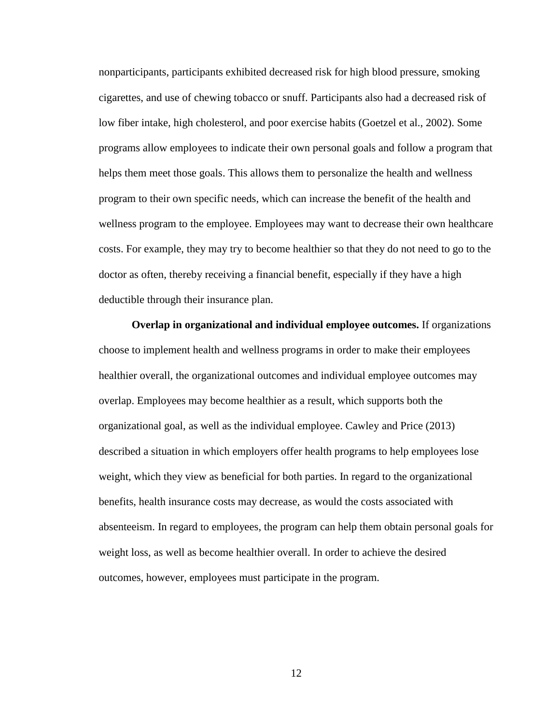nonparticipants, participants exhibited decreased risk for high blood pressure, smoking cigarettes, and use of chewing tobacco or snuff. Participants also had a decreased risk of low fiber intake, high cholesterol, and poor exercise habits (Goetzel et al., 2002). Some programs allow employees to indicate their own personal goals and follow a program that helps them meet those goals. This allows them to personalize the health and wellness program to their own specific needs, which can increase the benefit of the health and wellness program to the employee. Employees may want to decrease their own healthcare costs. For example, they may try to become healthier so that they do not need to go to the doctor as often, thereby receiving a financial benefit, especially if they have a high deductible through their insurance plan.

**Overlap in organizational and individual employee outcomes.** If organizations choose to implement health and wellness programs in order to make their employees healthier overall, the organizational outcomes and individual employee outcomes may overlap. Employees may become healthier as a result, which supports both the organizational goal, as well as the individual employee. Cawley and Price (2013) described a situation in which employers offer health programs to help employees lose weight, which they view as beneficial for both parties. In regard to the organizational benefits, health insurance costs may decrease, as would the costs associated with absenteeism. In regard to employees, the program can help them obtain personal goals for weight loss, as well as become healthier overall. In order to achieve the desired outcomes, however, employees must participate in the program.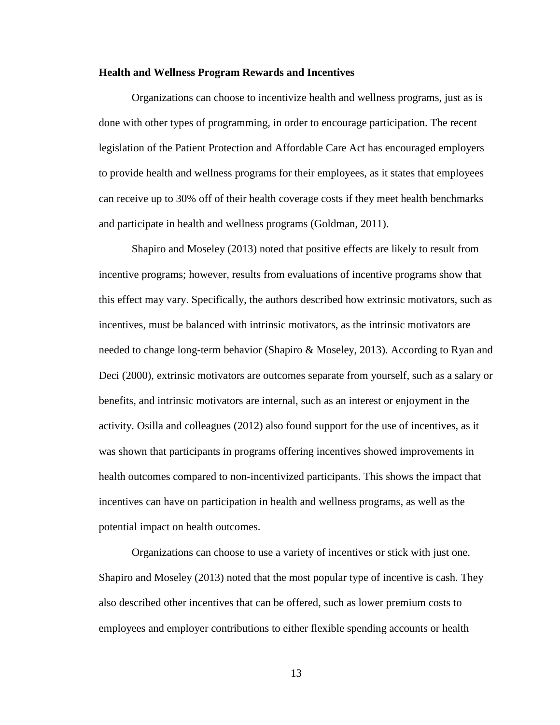## **Health and Wellness Program Rewards and Incentives**

Organizations can choose to incentivize health and wellness programs, just as is done with other types of programming, in order to encourage participation. The recent legislation of the Patient Protection and Affordable Care Act has encouraged employers to provide health and wellness programs for their employees, as it states that employees can receive up to 30% off of their health coverage costs if they meet health benchmarks and participate in health and wellness programs (Goldman, 2011).

Shapiro and Moseley (2013) noted that positive effects are likely to result from incentive programs; however, results from evaluations of incentive programs show that this effect may vary. Specifically, the authors described how extrinsic motivators, such as incentives, must be balanced with intrinsic motivators, as the intrinsic motivators are needed to change long-term behavior (Shapiro & Moseley, 2013). According to Ryan and Deci (2000), extrinsic motivators are outcomes separate from yourself, such as a salary or benefits, and intrinsic motivators are internal, such as an interest or enjoyment in the activity. Osilla and colleagues (2012) also found support for the use of incentives, as it was shown that participants in programs offering incentives showed improvements in health outcomes compared to non-incentivized participants. This shows the impact that incentives can have on participation in health and wellness programs, as well as the potential impact on health outcomes.

Organizations can choose to use a variety of incentives or stick with just one. Shapiro and Moseley (2013) noted that the most popular type of incentive is cash. They also described other incentives that can be offered, such as lower premium costs to employees and employer contributions to either flexible spending accounts or health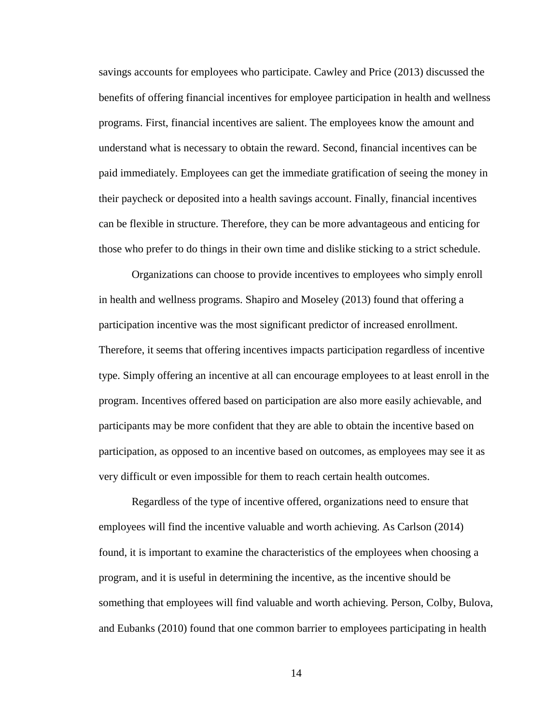savings accounts for employees who participate. Cawley and Price (2013) discussed the benefits of offering financial incentives for employee participation in health and wellness programs. First, financial incentives are salient. The employees know the amount and understand what is necessary to obtain the reward. Second, financial incentives can be paid immediately. Employees can get the immediate gratification of seeing the money in their paycheck or deposited into a health savings account. Finally, financial incentives can be flexible in structure. Therefore, they can be more advantageous and enticing for those who prefer to do things in their own time and dislike sticking to a strict schedule.

Organizations can choose to provide incentives to employees who simply enroll in health and wellness programs. Shapiro and Moseley (2013) found that offering a participation incentive was the most significant predictor of increased enrollment. Therefore, it seems that offering incentives impacts participation regardless of incentive type. Simply offering an incentive at all can encourage employees to at least enroll in the program. Incentives offered based on participation are also more easily achievable, and participants may be more confident that they are able to obtain the incentive based on participation, as opposed to an incentive based on outcomes, as employees may see it as very difficult or even impossible for them to reach certain health outcomes.

Regardless of the type of incentive offered, organizations need to ensure that employees will find the incentive valuable and worth achieving. As Carlson (2014) found, it is important to examine the characteristics of the employees when choosing a program, and it is useful in determining the incentive, as the incentive should be something that employees will find valuable and worth achieving. Person, Colby, Bulova, and Eubanks (2010) found that one common barrier to employees participating in health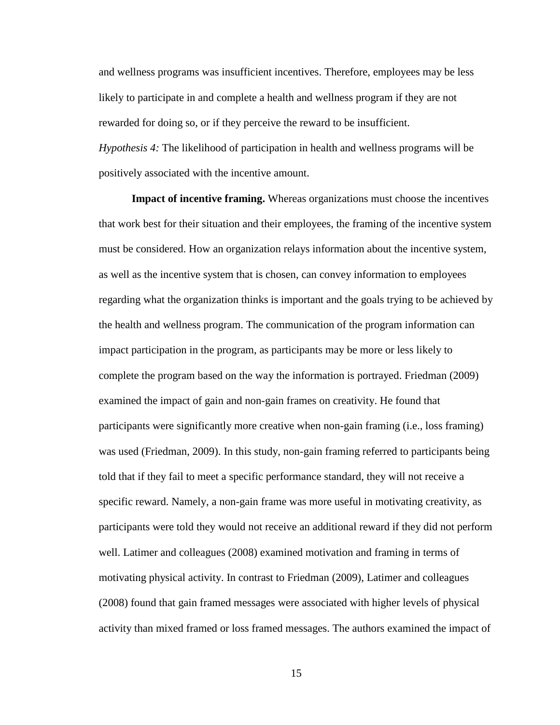and wellness programs was insufficient incentives. Therefore, employees may be less likely to participate in and complete a health and wellness program if they are not rewarded for doing so, or if they perceive the reward to be insufficient. *Hypothesis 4:* The likelihood of participation in health and wellness programs will be positively associated with the incentive amount.

**Impact of incentive framing.** Whereas organizations must choose the incentives that work best for their situation and their employees, the framing of the incentive system must be considered. How an organization relays information about the incentive system, as well as the incentive system that is chosen, can convey information to employees regarding what the organization thinks is important and the goals trying to be achieved by the health and wellness program. The communication of the program information can impact participation in the program, as participants may be more or less likely to complete the program based on the way the information is portrayed. Friedman (2009) examined the impact of gain and non-gain frames on creativity. He found that participants were significantly more creative when non-gain framing (i.e., loss framing) was used (Friedman, 2009). In this study, non-gain framing referred to participants being told that if they fail to meet a specific performance standard, they will not receive a specific reward. Namely, a non-gain frame was more useful in motivating creativity, as participants were told they would not receive an additional reward if they did not perform well. Latimer and colleagues (2008) examined motivation and framing in terms of motivating physical activity. In contrast to Friedman (2009), Latimer and colleagues (2008) found that gain framed messages were associated with higher levels of physical activity than mixed framed or loss framed messages. The authors examined the impact of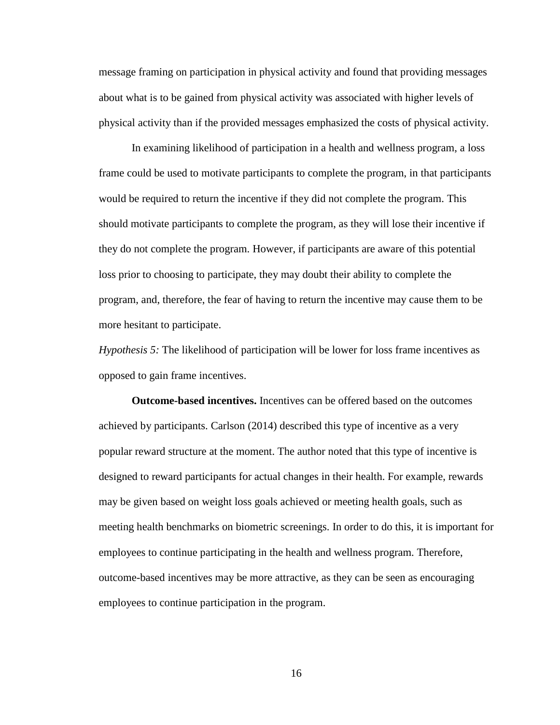message framing on participation in physical activity and found that providing messages about what is to be gained from physical activity was associated with higher levels of physical activity than if the provided messages emphasized the costs of physical activity.

In examining likelihood of participation in a health and wellness program, a loss frame could be used to motivate participants to complete the program, in that participants would be required to return the incentive if they did not complete the program. This should motivate participants to complete the program, as they will lose their incentive if they do not complete the program. However, if participants are aware of this potential loss prior to choosing to participate, they may doubt their ability to complete the program, and, therefore, the fear of having to return the incentive may cause them to be more hesitant to participate.

*Hypothesis 5:* The likelihood of participation will be lower for loss frame incentives as opposed to gain frame incentives.

**Outcome-based incentives.** Incentives can be offered based on the outcomes achieved by participants. Carlson (2014) described this type of incentive as a very popular reward structure at the moment. The author noted that this type of incentive is designed to reward participants for actual changes in their health. For example, rewards may be given based on weight loss goals achieved or meeting health goals, such as meeting health benchmarks on biometric screenings. In order to do this, it is important for employees to continue participating in the health and wellness program. Therefore, outcome-based incentives may be more attractive, as they can be seen as encouraging employees to continue participation in the program.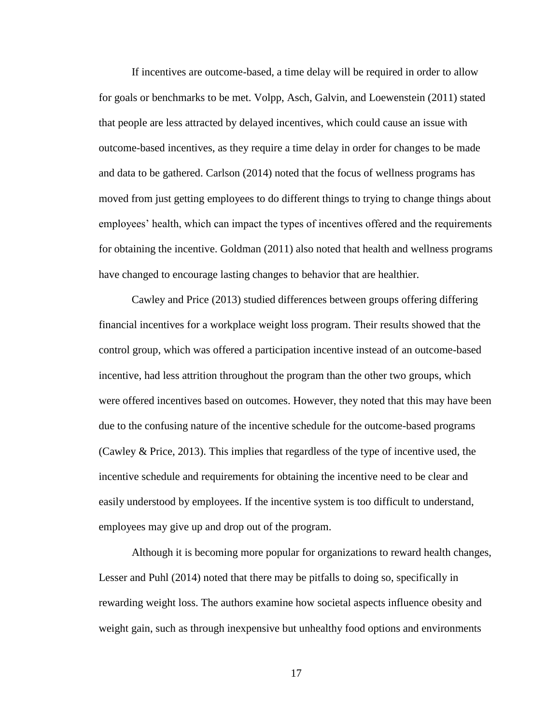If incentives are outcome-based, a time delay will be required in order to allow for goals or benchmarks to be met. Volpp, Asch, Galvin, and Loewenstein (2011) stated that people are less attracted by delayed incentives, which could cause an issue with outcome-based incentives, as they require a time delay in order for changes to be made and data to be gathered. Carlson (2014) noted that the focus of wellness programs has moved from just getting employees to do different things to trying to change things about employees' health, which can impact the types of incentives offered and the requirements for obtaining the incentive. Goldman (2011) also noted that health and wellness programs have changed to encourage lasting changes to behavior that are healthier.

Cawley and Price (2013) studied differences between groups offering differing financial incentives for a workplace weight loss program. Their results showed that the control group, which was offered a participation incentive instead of an outcome-based incentive, had less attrition throughout the program than the other two groups, which were offered incentives based on outcomes. However, they noted that this may have been due to the confusing nature of the incentive schedule for the outcome-based programs (Cawley & Price, 2013). This implies that regardless of the type of incentive used, the incentive schedule and requirements for obtaining the incentive need to be clear and easily understood by employees. If the incentive system is too difficult to understand, employees may give up and drop out of the program.

Although it is becoming more popular for organizations to reward health changes, Lesser and Puhl (2014) noted that there may be pitfalls to doing so, specifically in rewarding weight loss. The authors examine how societal aspects influence obesity and weight gain, such as through inexpensive but unhealthy food options and environments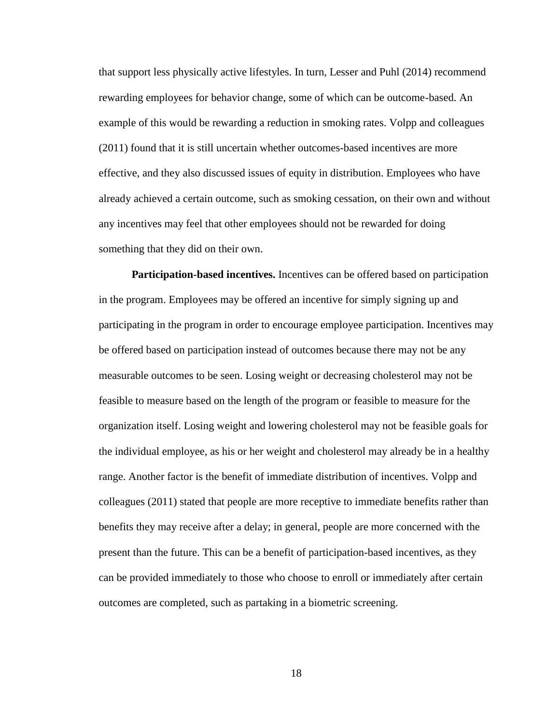that support less physically active lifestyles. In turn, Lesser and Puhl (2014) recommend rewarding employees for behavior change, some of which can be outcome-based. An example of this would be rewarding a reduction in smoking rates. Volpp and colleagues (2011) found that it is still uncertain whether outcomes-based incentives are more effective, and they also discussed issues of equity in distribution. Employees who have already achieved a certain outcome, such as smoking cessation, on their own and without any incentives may feel that other employees should not be rewarded for doing something that they did on their own.

**Participation-based incentives.** Incentives can be offered based on participation in the program. Employees may be offered an incentive for simply signing up and participating in the program in order to encourage employee participation. Incentives may be offered based on participation instead of outcomes because there may not be any measurable outcomes to be seen. Losing weight or decreasing cholesterol may not be feasible to measure based on the length of the program or feasible to measure for the organization itself. Losing weight and lowering cholesterol may not be feasible goals for the individual employee, as his or her weight and cholesterol may already be in a healthy range. Another factor is the benefit of immediate distribution of incentives. Volpp and colleagues (2011) stated that people are more receptive to immediate benefits rather than benefits they may receive after a delay; in general, people are more concerned with the present than the future. This can be a benefit of participation-based incentives, as they can be provided immediately to those who choose to enroll or immediately after certain outcomes are completed, such as partaking in a biometric screening.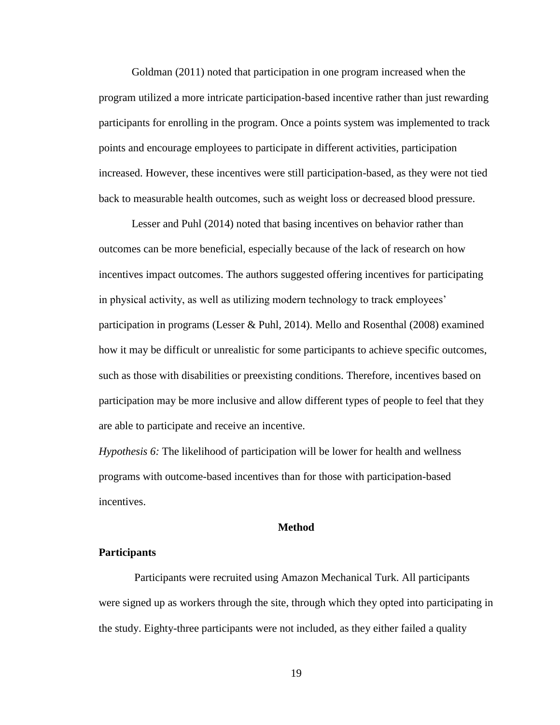Goldman (2011) noted that participation in one program increased when the program utilized a more intricate participation-based incentive rather than just rewarding participants for enrolling in the program. Once a points system was implemented to track points and encourage employees to participate in different activities, participation increased. However, these incentives were still participation-based, as they were not tied back to measurable health outcomes, such as weight loss or decreased blood pressure.

Lesser and Puhl (2014) noted that basing incentives on behavior rather than outcomes can be more beneficial, especially because of the lack of research on how incentives impact outcomes. The authors suggested offering incentives for participating in physical activity, as well as utilizing modern technology to track employees' participation in programs (Lesser & Puhl, 2014). Mello and Rosenthal (2008) examined how it may be difficult or unrealistic for some participants to achieve specific outcomes, such as those with disabilities or preexisting conditions. Therefore, incentives based on participation may be more inclusive and allow different types of people to feel that they are able to participate and receive an incentive.

*Hypothesis 6:* The likelihood of participation will be lower for health and wellness programs with outcome-based incentives than for those with participation-based incentives.

#### **Method**

#### **Participants**

Participants were recruited using Amazon Mechanical Turk. All participants were signed up as workers through the site, through which they opted into participating in the study. Eighty-three participants were not included, as they either failed a quality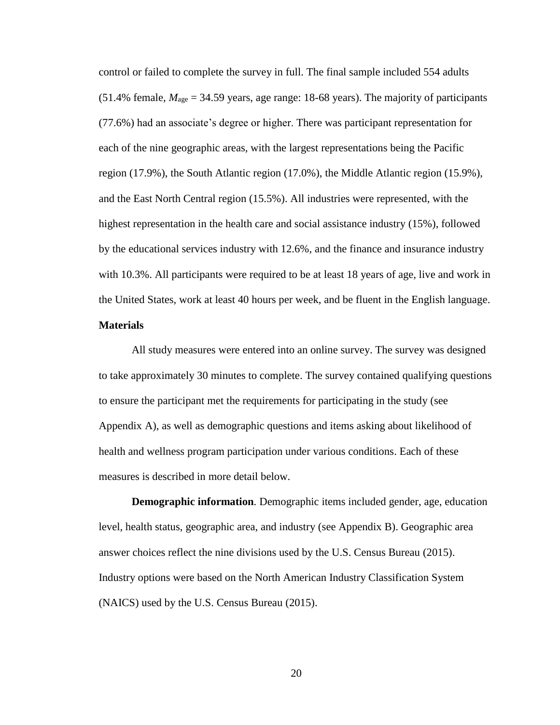control or failed to complete the survey in full. The final sample included 554 adults (51.4% female,  $M_{\text{age}} = 34.59$  years, age range: 18-68 years). The majority of participants (77.6%) had an associate's degree or higher. There was participant representation for each of the nine geographic areas, with the largest representations being the Pacific region (17.9%), the South Atlantic region (17.0%), the Middle Atlantic region (15.9%), and the East North Central region (15.5%). All industries were represented, with the highest representation in the health care and social assistance industry (15%), followed by the educational services industry with 12.6%, and the finance and insurance industry with 10.3%. All participants were required to be at least 18 years of age, live and work in the United States, work at least 40 hours per week, and be fluent in the English language.

## **Materials**

All study measures were entered into an online survey. The survey was designed to take approximately 30 minutes to complete. The survey contained qualifying questions to ensure the participant met the requirements for participating in the study (see Appendix A), as well as demographic questions and items asking about likelihood of health and wellness program participation under various conditions. Each of these measures is described in more detail below.

**Demographic information***.* Demographic items included gender, age, education level, health status, geographic area, and industry (see Appendix B). Geographic area answer choices reflect the nine divisions used by the U.S. Census Bureau (2015). Industry options were based on the North American Industry Classification System (NAICS) used by the U.S. Census Bureau (2015).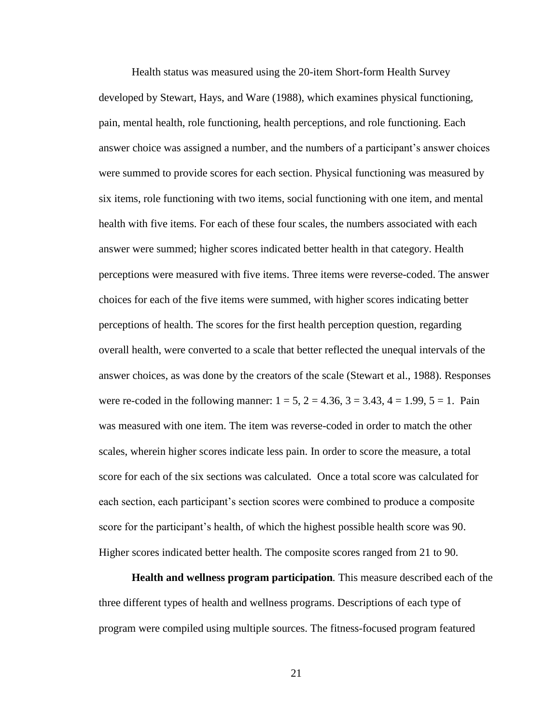Health status was measured using the 20-item Short-form Health Survey developed by Stewart, Hays, and Ware (1988), which examines physical functioning, pain, mental health, role functioning, health perceptions, and role functioning. Each answer choice was assigned a number, and the numbers of a participant's answer choices were summed to provide scores for each section. Physical functioning was measured by six items, role functioning with two items, social functioning with one item, and mental health with five items. For each of these four scales, the numbers associated with each answer were summed; higher scores indicated better health in that category. Health perceptions were measured with five items. Three items were reverse-coded. The answer choices for each of the five items were summed, with higher scores indicating better perceptions of health. The scores for the first health perception question, regarding overall health, were converted to a scale that better reflected the unequal intervals of the answer choices, as was done by the creators of the scale (Stewart et al., 1988). Responses were re-coded in the following manner:  $1 = 5$ ,  $2 = 4.36$ ,  $3 = 3.43$ ,  $4 = 1.99$ ,  $5 = 1$ . Pain was measured with one item. The item was reverse-coded in order to match the other scales, wherein higher scores indicate less pain. In order to score the measure, a total score for each of the six sections was calculated. Once a total score was calculated for each section, each participant's section scores were combined to produce a composite score for the participant's health, of which the highest possible health score was 90. Higher scores indicated better health. The composite scores ranged from 21 to 90.

**Health and wellness program participation***.* This measure described each of the three different types of health and wellness programs. Descriptions of each type of program were compiled using multiple sources. The fitness-focused program featured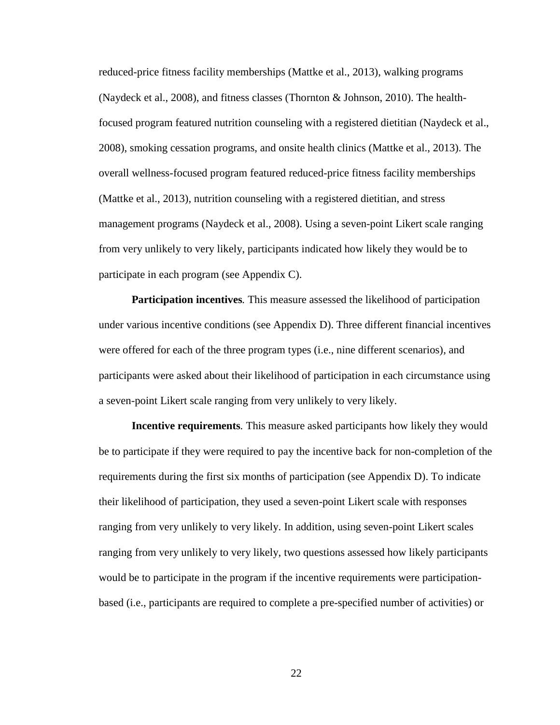reduced-price fitness facility memberships (Mattke et al., 2013), walking programs (Naydeck et al., 2008), and fitness classes (Thornton & Johnson, 2010). The healthfocused program featured nutrition counseling with a registered dietitian (Naydeck et al., 2008), smoking cessation programs, and onsite health clinics (Mattke et al., 2013). The overall wellness-focused program featured reduced-price fitness facility memberships (Mattke et al., 2013), nutrition counseling with a registered dietitian, and stress management programs (Naydeck et al., 2008). Using a seven-point Likert scale ranging from very unlikely to very likely, participants indicated how likely they would be to participate in each program (see Appendix C).

**Participation incentives***.* This measure assessed the likelihood of participation under various incentive conditions (see Appendix D). Three different financial incentives were offered for each of the three program types (i.e., nine different scenarios), and participants were asked about their likelihood of participation in each circumstance using a seven-point Likert scale ranging from very unlikely to very likely.

**Incentive requirements***.* This measure asked participants how likely they would be to participate if they were required to pay the incentive back for non-completion of the requirements during the first six months of participation (see Appendix D). To indicate their likelihood of participation, they used a seven-point Likert scale with responses ranging from very unlikely to very likely. In addition, using seven-point Likert scales ranging from very unlikely to very likely, two questions assessed how likely participants would be to participate in the program if the incentive requirements were participationbased (i.e., participants are required to complete a pre-specified number of activities) or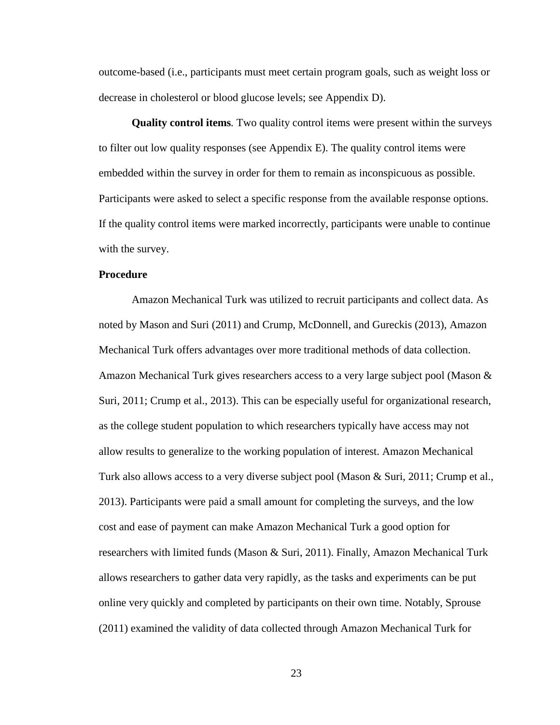outcome-based (i.e., participants must meet certain program goals, such as weight loss or decrease in cholesterol or blood glucose levels; see Appendix D).

**Quality control items***.* Two quality control items were present within the surveys to filter out low quality responses (see Appendix E). The quality control items were embedded within the survey in order for them to remain as inconspicuous as possible. Participants were asked to select a specific response from the available response options. If the quality control items were marked incorrectly, participants were unable to continue with the survey.

#### **Procedure**

Amazon Mechanical Turk was utilized to recruit participants and collect data. As noted by Mason and Suri (2011) and Crump, McDonnell, and Gureckis (2013), Amazon Mechanical Turk offers advantages over more traditional methods of data collection. Amazon Mechanical Turk gives researchers access to a very large subject pool (Mason & Suri, 2011; Crump et al., 2013). This can be especially useful for organizational research, as the college student population to which researchers typically have access may not allow results to generalize to the working population of interest. Amazon Mechanical Turk also allows access to a very diverse subject pool (Mason & Suri, 2011; Crump et al., 2013). Participants were paid a small amount for completing the surveys, and the low cost and ease of payment can make Amazon Mechanical Turk a good option for researchers with limited funds (Mason & Suri, 2011). Finally, Amazon Mechanical Turk allows researchers to gather data very rapidly, as the tasks and experiments can be put online very quickly and completed by participants on their own time. Notably, Sprouse (2011) examined the validity of data collected through Amazon Mechanical Turk for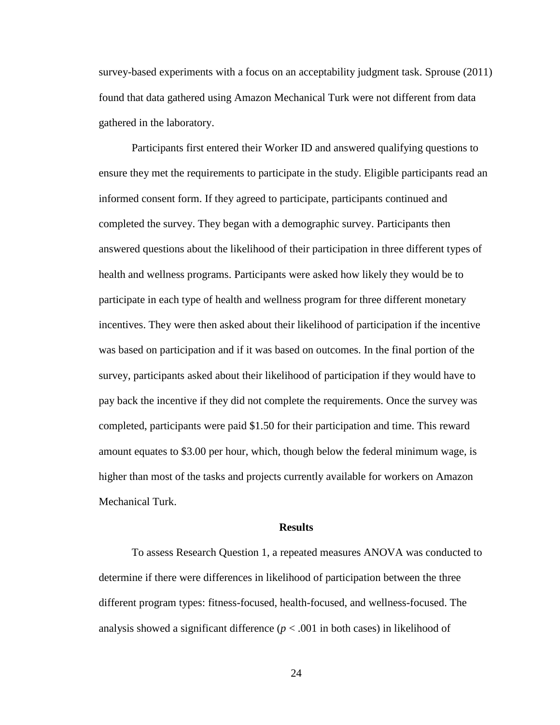survey-based experiments with a focus on an acceptability judgment task. Sprouse (2011) found that data gathered using Amazon Mechanical Turk were not different from data gathered in the laboratory.

Participants first entered their Worker ID and answered qualifying questions to ensure they met the requirements to participate in the study. Eligible participants read an informed consent form. If they agreed to participate, participants continued and completed the survey. They began with a demographic survey. Participants then answered questions about the likelihood of their participation in three different types of health and wellness programs. Participants were asked how likely they would be to participate in each type of health and wellness program for three different monetary incentives. They were then asked about their likelihood of participation if the incentive was based on participation and if it was based on outcomes. In the final portion of the survey, participants asked about their likelihood of participation if they would have to pay back the incentive if they did not complete the requirements. Once the survey was completed, participants were paid \$1.50 for their participation and time. This reward amount equates to \$3.00 per hour, which, though below the federal minimum wage, is higher than most of the tasks and projects currently available for workers on Amazon Mechanical Turk.

#### **Results**

To assess Research Question 1, a repeated measures ANOVA was conducted to determine if there were differences in likelihood of participation between the three different program types: fitness-focused, health-focused, and wellness-focused. The analysis showed a significant difference ( $p < .001$  in both cases) in likelihood of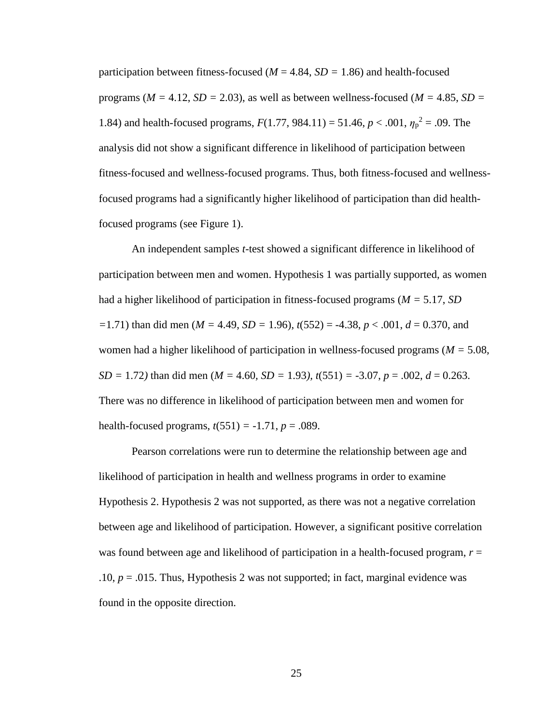participation between fitness-focused ( $M = 4.84$ ,  $SD = 1.86$ ) and health-focused programs ( $M = 4.12$ ,  $SD = 2.03$ ), as well as between wellness-focused ( $M = 4.85$ ,  $SD =$ 1.84) and health-focused programs,  $F(1.77, 984.11) = 51.46$ ,  $p < .001$ ,  $\eta_p^2 = .09$ . The analysis did not show a significant difference in likelihood of participation between fitness-focused and wellness-focused programs. Thus, both fitness-focused and wellnessfocused programs had a significantly higher likelihood of participation than did healthfocused programs (see Figure 1).

An independent samples *t-*test showed a significant difference in likelihood of participation between men and women. Hypothesis 1 was partially supported, as women had a higher likelihood of participation in fitness-focused programs (*M =* 5.17, *SD =*1.71) than did men (*M =* 4.49, *SD =* 1.96), *t*(552) = -4.38, *p* < .001, *d* = 0.370, and women had a higher likelihood of participation in wellness-focused programs (*M =* 5.08*, SD =* 1.72*)* than did men (*M =* 4.60*, SD =* 1.93*), t*(551) *=* -3.07, *p* = .002, *d* = 0.263. There was no difference in likelihood of participation between men and women for health-focused programs,  $t(551) = -1.71$ ,  $p = .089$ .

Pearson correlations were run to determine the relationship between age and likelihood of participation in health and wellness programs in order to examine Hypothesis 2. Hypothesis 2 was not supported, as there was not a negative correlation between age and likelihood of participation. However, a significant positive correlation was found between age and likelihood of participation in a health-focused program,  $r =$ .10,  $p = .015$ . Thus, Hypothesis 2 was not supported; in fact, marginal evidence was found in the opposite direction.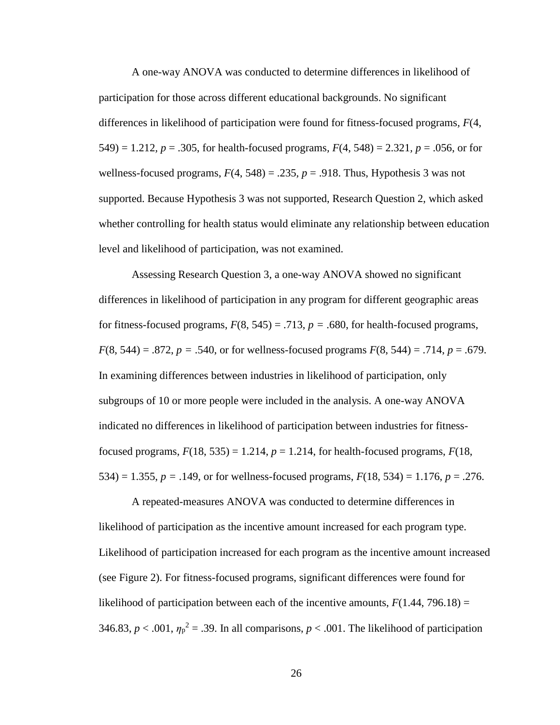A one-way ANOVA was conducted to determine differences in likelihood of participation for those across different educational backgrounds. No significant differences in likelihood of participation were found for fitness-focused programs*, F*(4, 549) = 1.212,  $p = .305$ , for health-focused programs,  $F(4, 548) = 2.321$ ,  $p = .056$ , or for wellness-focused programs,  $F(4, 548) = .235$ ,  $p = .918$ . Thus, Hypothesis 3 was not supported. Because Hypothesis 3 was not supported, Research Question 2, which asked whether controlling for health status would eliminate any relationship between education level and likelihood of participation, was not examined.

Assessing Research Question 3, a one-way ANOVA showed no significant differences in likelihood of participation in any program for different geographic areas for fitness-focused programs,  $F(8, 545) = .713$ ,  $p = .680$ , for health-focused programs, *F*(8, 544) = .872, *p =* .540, or for wellness-focused programs *F*(8, 544) = .714, *p* = .679. In examining differences between industries in likelihood of participation, only subgroups of 10 or more people were included in the analysis. A one-way ANOVA indicated no differences in likelihood of participation between industries for fitnessfocused programs,  $F(18, 535) = 1.214$ ,  $p = 1.214$ , for health-focused programs,  $F(18, 535) = 1.214$ ,  $p = 1.214$ , for health-focused programs,  $F(18, 535) = 1.214$ ,  $p = 1.214$ , for health-focused programs,  $F(18, 535) = 1.21$ 534) = 1.355,  $p = .149$ , or for wellness-focused programs,  $F(18, 534) = 1.176$ ,  $p = .276$ .

A repeated-measures ANOVA was conducted to determine differences in likelihood of participation as the incentive amount increased for each program type. Likelihood of participation increased for each program as the incentive amount increased (see Figure 2). For fitness-focused programs, significant differences were found for likelihood of participation between each of the incentive amounts,  $F(1.44, 796.18) =$ 346.83,  $p < .001$ ,  $\eta_p^2 = .39$ . In all comparisons,  $p < .001$ . The likelihood of participation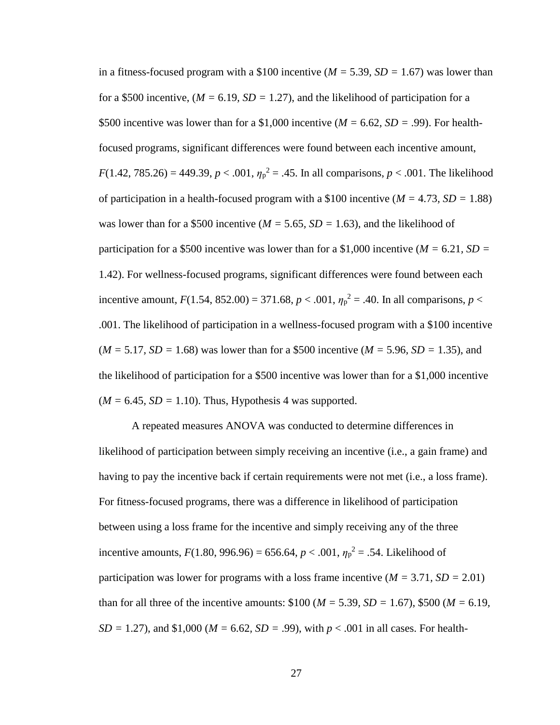in a fitness-focused program with a \$100 incentive (*M =* 5.39*, SD =* 1.67) was lower than for a \$500 incentive,  $(M = 6.19, SD = 1.27)$ , and the likelihood of participation for a \$500 incentive was lower than for a \$1,000 incentive (*M =* 6.62*, SD =* .99). For healthfocused programs, significant differences were found between each incentive amount,  $F(1.42, 785.26) = 449.39, p < .001, \eta_p^2 = .45$ . In all comparisons,  $p < .001$ . The likelihood of participation in a health-focused program with a \$100 incentive (*M =* 4.73*, SD =* 1.88) was lower than for a \$500 incentive ( $M = 5.65$ ,  $SD = 1.63$ ), and the likelihood of participation for a \$500 incentive was lower than for a \$1,000 incentive ( $M = 6.21$ ,  $SD =$ 1.42). For wellness-focused programs, significant differences were found between each incentive amount,  $F(1.54, 852.00) = 371.68$ ,  $p < .001$ ,  $\eta_p^2 = .40$ . In all comparisons,  $p <$ .001. The likelihood of participation in a wellness-focused program with a \$100 incentive (*M =* 5.17*, SD =* 1.68) was lower than for a \$500 incentive (*M =* 5.96*, SD =* 1.35), and the likelihood of participation for a \$500 incentive was lower than for a \$1,000 incentive  $(M = 6.45, SD = 1.10)$ . Thus, Hypothesis 4 was supported.

A repeated measures ANOVA was conducted to determine differences in likelihood of participation between simply receiving an incentive (i.e., a gain frame) and having to pay the incentive back if certain requirements were not met (i.e., a loss frame). For fitness-focused programs, there was a difference in likelihood of participation between using a loss frame for the incentive and simply receiving any of the three incentive amounts,  $F(1.80, 996.96) = 656.64$ ,  $p < .001$ ,  $\eta_p^2 = .54$ . Likelihood of participation was lower for programs with a loss frame incentive (*M =* 3.71*, SD =* 2.01) than for all three of the incentive amounts:  $$100 (M = 5.39, SD = 1.67), $500 (M = 6.19,$ *SD* = 1.27), and \$1,000 ( $M = 6.62$ , *SD* = .99), with  $p < .001$  in all cases. For health-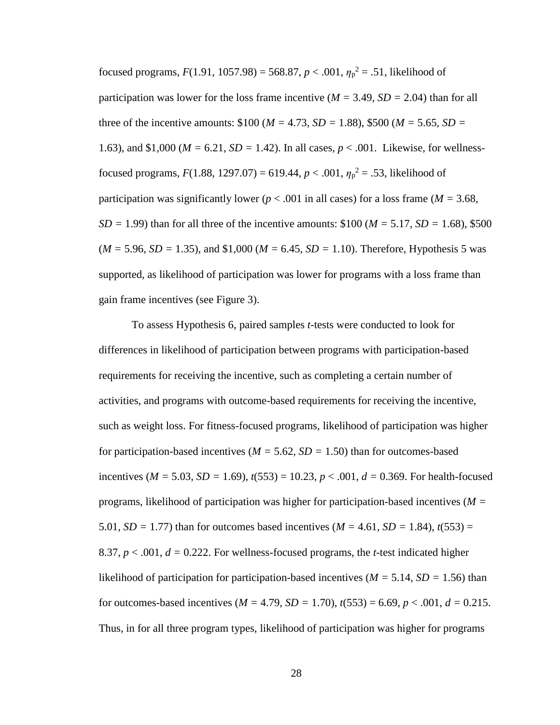focused programs,  $F(1.91, 1057.98) = 568.87, p < .001, \eta_p^2 = .51$ , likelihood of participation was lower for the loss frame incentive (*M =* 3.49*, SD =* 2.04) than for all three of the incentive amounts: \$100 (*M =* 4.73*, SD =* 1.88), \$500 (*M =* 5.65*, SD =*  1.63), and \$1,000 (*M =* 6.21*, SD =* 1.42). In all cases, *p* < .001. Likewise, for wellnessfocused programs,  $F(1.88, 1297.07) = 619.44, p < .001, \eta_p^2 = .53$ , likelihood of participation was significantly lower ( $p < .001$  in all cases) for a loss frame ( $M = 3.68$ , *SD =* 1.99) than for all three of the incentive amounts: \$100 (*M =* 5.17*, SD =* 1.68), \$500 (*M =* 5.96*, SD =* 1.35), and \$1,000 (*M =* 6.45*, SD =* 1.10). Therefore, Hypothesis 5 was supported, as likelihood of participation was lower for programs with a loss frame than gain frame incentives (see Figure 3).

To assess Hypothesis 6, paired samples *t-*tests were conducted to look for differences in likelihood of participation between programs with participation-based requirements for receiving the incentive, such as completing a certain number of activities, and programs with outcome-based requirements for receiving the incentive, such as weight loss. For fitness-focused programs, likelihood of participation was higher for participation-based incentives (*M =* 5.62*, SD =* 1.50) than for outcomes-based incentives ( $M = 5.03$ ,  $SD = 1.69$ ),  $t(553) = 10.23$ ,  $p < .001$ ,  $d = 0.369$ . For health-focused programs, likelihood of participation was higher for participation-based incentives (*M =*  5.01*, SD* = 1.77) than for outcomes based incentives ( $M = 4.61$ ,  $SD = 1.84$ ),  $t(553) =$ 8.37,  $p < .001$ ,  $d = 0.222$ . For wellness-focused programs, the *t*-test indicated higher likelihood of participation for participation-based incentives (*M =* 5.14*, SD =* 1.56) than for outcomes-based incentives ( $M = 4.79$ ,  $SD = 1.70$ ),  $t(553) = 6.69$ ,  $p < .001$ ,  $d = 0.215$ . Thus, in for all three program types, likelihood of participation was higher for programs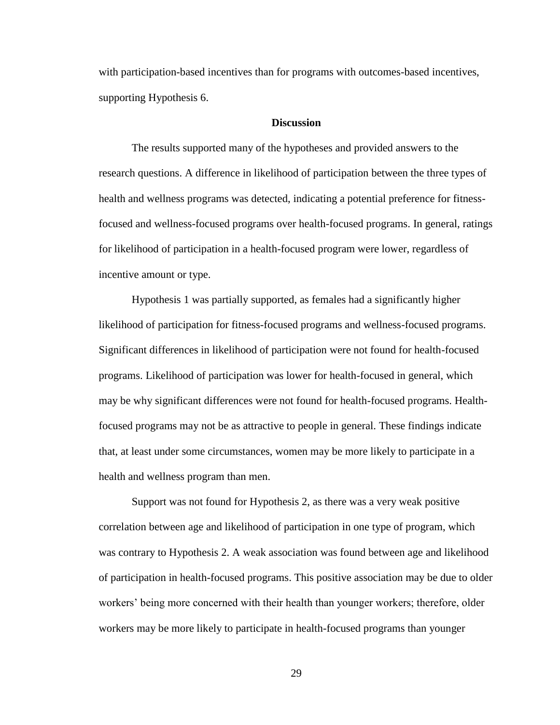with participation-based incentives than for programs with outcomes-based incentives, supporting Hypothesis 6.

#### **Discussion**

The results supported many of the hypotheses and provided answers to the research questions. A difference in likelihood of participation between the three types of health and wellness programs was detected, indicating a potential preference for fitnessfocused and wellness-focused programs over health-focused programs. In general, ratings for likelihood of participation in a health-focused program were lower, regardless of incentive amount or type.

Hypothesis 1 was partially supported, as females had a significantly higher likelihood of participation for fitness-focused programs and wellness-focused programs. Significant differences in likelihood of participation were not found for health-focused programs. Likelihood of participation was lower for health-focused in general, which may be why significant differences were not found for health-focused programs. Healthfocused programs may not be as attractive to people in general. These findings indicate that, at least under some circumstances, women may be more likely to participate in a health and wellness program than men.

Support was not found for Hypothesis 2, as there was a very weak positive correlation between age and likelihood of participation in one type of program, which was contrary to Hypothesis 2. A weak association was found between age and likelihood of participation in health-focused programs. This positive association may be due to older workers' being more concerned with their health than younger workers; therefore, older workers may be more likely to participate in health-focused programs than younger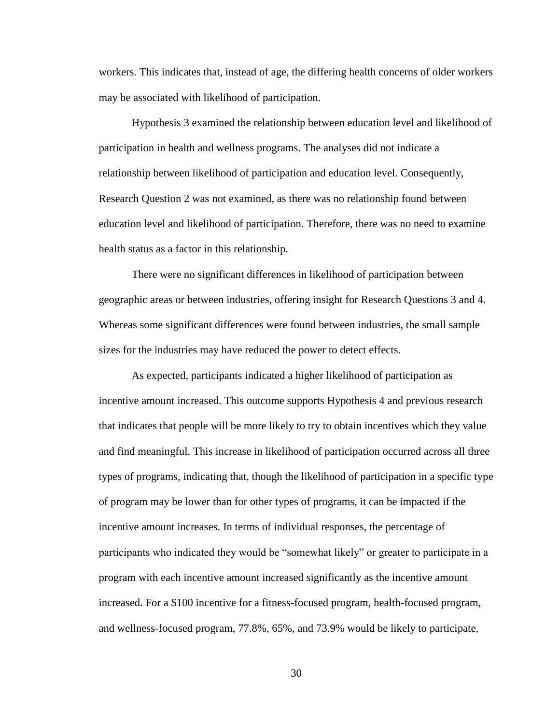workers. This indicates that, instead of age, the differing health concerns of older workers may be associated with likelihood of participation.

Hypothesis 3 examined the relationship between education level and likelihood of participation in health and wellness programs. The analyses did not indicate a relationship between likelihood of participation and education level. Consequently, Research Question 2 was not examined, as there was no relationship found between education level and likelihood of participation. Therefore, there was no need to examine health status as a factor in this relationship.

There were no significant differences in likelihood of participation between geographic areas or between industries, offering insight for Research Questions 3 and 4. Whereas some significant differences were found between industries, the small sample sizes for the industries may have reduced the power to detect effects.

As expected, participants indicated a higher likelihood of participation as incentive amount increased. This outcome supports Hypothesis 4 and previous research that indicates that people will be more likely to try to obtain incentives which they value and find meaningful. This increase in likelihood of participation occurred across all three types of programs, indicating that, though the likelihood of participation in a specific type of program may be lower than for other types of programs, it can be impacted if the incentive amount increases. In terms of individual responses, the percentage of participants who indicated they would be "somewhat likely" or greater to participate in a program with each incentive amount increased significantly as the incentive amount increased. For a \$100 incentive for a fitness-focused program, health-focused program, and wellness-focused program, 77.8%, 65%, and 73.9% would be likely to participate,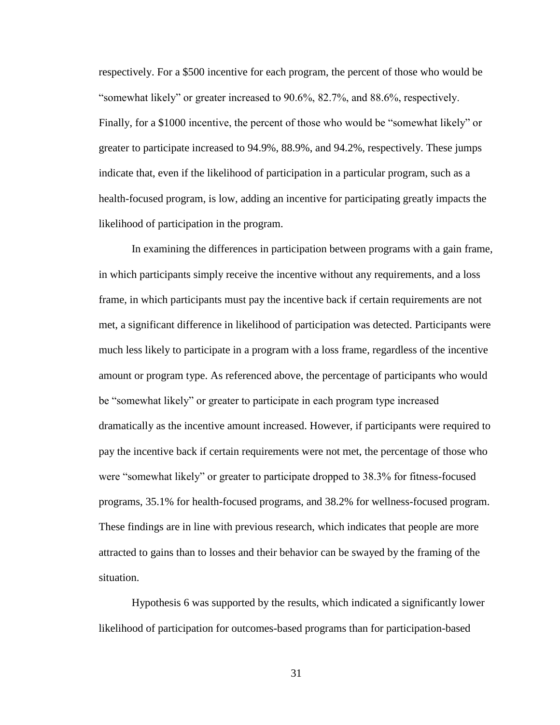respectively. For a \$500 incentive for each program, the percent of those who would be "somewhat likely" or greater increased to 90.6%, 82.7%, and 88.6%, respectively. Finally, for a \$1000 incentive, the percent of those who would be "somewhat likely" or greater to participate increased to 94.9%, 88.9%, and 94.2%, respectively. These jumps indicate that, even if the likelihood of participation in a particular program, such as a health-focused program, is low, adding an incentive for participating greatly impacts the likelihood of participation in the program.

In examining the differences in participation between programs with a gain frame, in which participants simply receive the incentive without any requirements, and a loss frame, in which participants must pay the incentive back if certain requirements are not met, a significant difference in likelihood of participation was detected. Participants were much less likely to participate in a program with a loss frame, regardless of the incentive amount or program type. As referenced above, the percentage of participants who would be "somewhat likely" or greater to participate in each program type increased dramatically as the incentive amount increased. However, if participants were required to pay the incentive back if certain requirements were not met, the percentage of those who were "somewhat likely" or greater to participate dropped to 38.3% for fitness-focused programs, 35.1% for health-focused programs, and 38.2% for wellness-focused program. These findings are in line with previous research, which indicates that people are more attracted to gains than to losses and their behavior can be swayed by the framing of the situation.

Hypothesis 6 was supported by the results, which indicated a significantly lower likelihood of participation for outcomes-based programs than for participation-based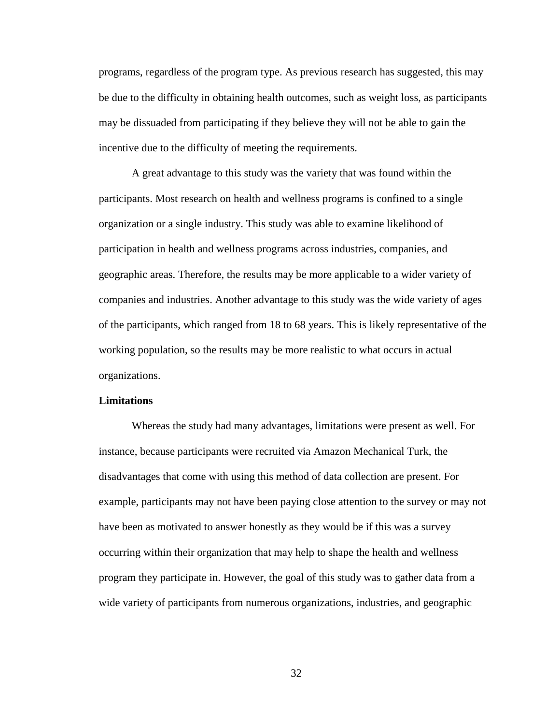programs, regardless of the program type. As previous research has suggested, this may be due to the difficulty in obtaining health outcomes, such as weight loss, as participants may be dissuaded from participating if they believe they will not be able to gain the incentive due to the difficulty of meeting the requirements.

A great advantage to this study was the variety that was found within the participants. Most research on health and wellness programs is confined to a single organization or a single industry. This study was able to examine likelihood of participation in health and wellness programs across industries, companies, and geographic areas. Therefore, the results may be more applicable to a wider variety of companies and industries. Another advantage to this study was the wide variety of ages of the participants, which ranged from 18 to 68 years. This is likely representative of the working population, so the results may be more realistic to what occurs in actual organizations.

#### **Limitations**

Whereas the study had many advantages, limitations were present as well. For instance, because participants were recruited via Amazon Mechanical Turk, the disadvantages that come with using this method of data collection are present. For example, participants may not have been paying close attention to the survey or may not have been as motivated to answer honestly as they would be if this was a survey occurring within their organization that may help to shape the health and wellness program they participate in. However, the goal of this study was to gather data from a wide variety of participants from numerous organizations, industries, and geographic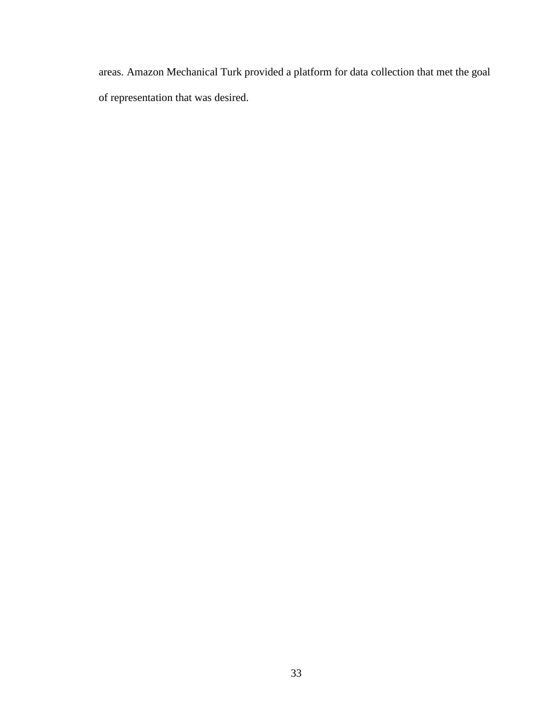areas. Amazon Mechanical Turk provided a platform for data collection that met the goal of representation that was desired.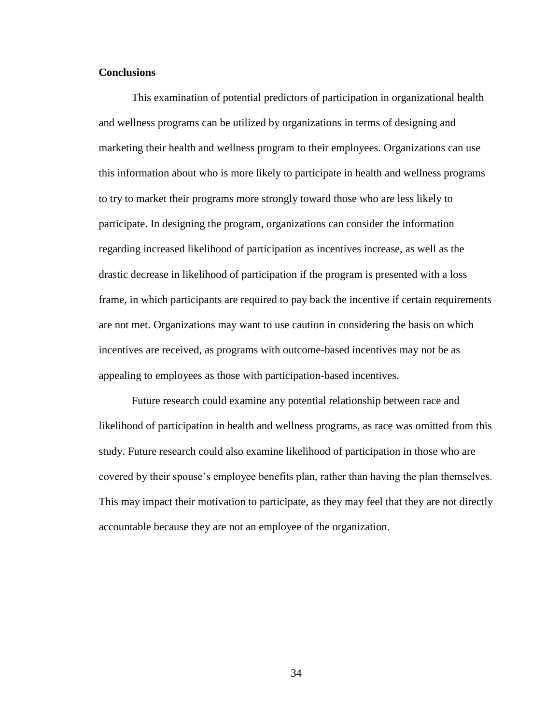#### **Conclusions**

This examination of potential predictors of participation in organizational health and wellness programs can be utilized by organizations in terms of designing and marketing their health and wellness program to their employees. Organizations can use this information about who is more likely to participate in health and wellness programs to try to market their programs more strongly toward those who are less likely to participate. In designing the program, organizations can consider the information regarding increased likelihood of participation as incentives increase, as well as the drastic decrease in likelihood of participation if the program is presented with a loss frame, in which participants are required to pay back the incentive if certain requirements are not met. Organizations may want to use caution in considering the basis on which incentives are received, as programs with outcome-based incentives may not be as appealing to employees as those with participation-based incentives.

Future research could examine any potential relationship between race and likelihood of participation in health and wellness programs, as race was omitted from this study. Future research could also examine likelihood of participation in those who are covered by their spouse's employee benefits plan, rather than having the plan themselves. This may impact their motivation to participate, as they may feel that they are not directly accountable because they are not an employee of the organization.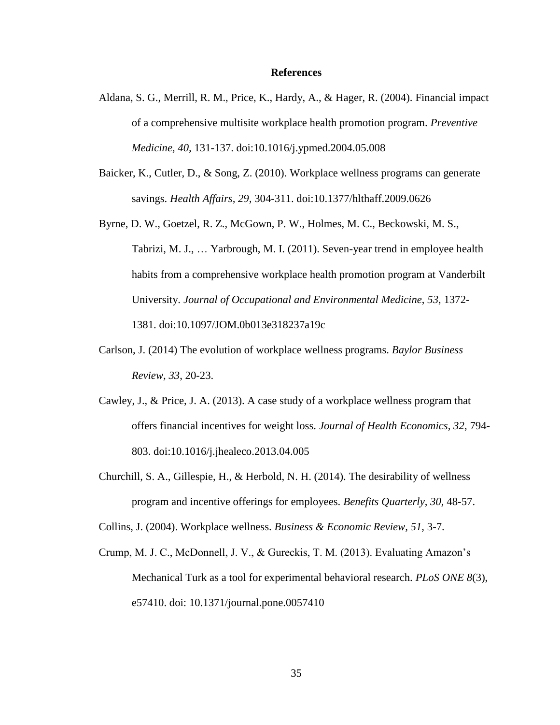#### **References**

- Aldana, S. G., Merrill, R. M., Price, K., Hardy, A., & Hager, R. (2004). Financial impact of a comprehensive multisite workplace health promotion program. *Preventive Medicine, 40,* 131-137. doi:10.1016/j.ypmed.2004.05.008
- Baicker, K., Cutler, D., & Song, Z. (2010). Workplace wellness programs can generate savings. *Health Affairs, 29,* 304-311. doi:10.1377/hlthaff.2009.0626
- Byrne, D. W., Goetzel, R. Z., McGown, P. W., Holmes, M. C., Beckowski, M. S., Tabrizi, M. J., … Yarbrough, M. I. (2011). Seven-year trend in employee health habits from a comprehensive workplace health promotion program at Vanderbilt University. *Journal of Occupational and Environmental Medicine*, *53*, 1372- 1381. doi:10.1097/JOM.0b013e318237a19c
- Carlson, J. (2014) The evolution of workplace wellness programs. *Baylor Business Review, 33*, 20-23.
- Cawley, J., & Price, J. A. (2013). A case study of a workplace wellness program that offers financial incentives for weight loss. *Journal of Health Economics, 32*, 794- 803. doi:10.1016/j.jhealeco.2013.04.005
- Churchill, S. A., Gillespie, H., & Herbold, N. H. (2014). The desirability of wellness program and incentive offerings for employees. *Benefits Quarterly, 30,* 48-57.

Collins, J. (2004). Workplace wellness. *Business & Economic Review, 51,* 3-7.

Crump, M. J. C., McDonnell, J. V., & Gureckis, T. M. (2013). Evaluating Amazon's Mechanical Turk as a tool for experimental behavioral research. *PLoS ONE 8*(3), e57410. doi: 10.1371/journal.pone.0057410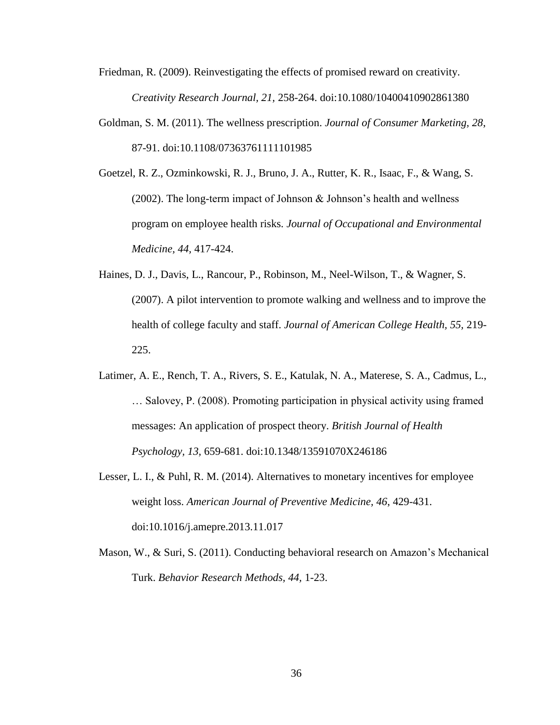- Friedman, R. (2009). Reinvestigating the effects of promised reward on creativity. *Creativity Research Journal, 21,* 258-264. doi:10.1080/10400410902861380
- Goldman, S. M. (2011). The wellness prescription. *Journal of Consumer Marketing, 28*, 87-91. doi:10.1108/07363761111101985
- Goetzel, R. Z., Ozminkowski, R. J., Bruno, J. A., Rutter, K. R., Isaac, F., & Wang, S. (2002). The long-term impact of Johnson  $\&$  Johnson's health and wellness program on employee health risks. *Journal of Occupational and Environmental Medicine, 44,* 417-424.
- Haines, D. J., Davis, L., Rancour, P., Robinson, M., Neel-Wilson, T., & Wagner, S. (2007). A pilot intervention to promote walking and wellness and to improve the health of college faculty and staff. *Journal of American College Health, 55,* 219- 225.
- Latimer, A. E., Rench, T. A., Rivers, S. E., Katulak, N. A., Materese, S. A., Cadmus, L., … Salovey, P. (2008). Promoting participation in physical activity using framed messages: An application of prospect theory. *British Journal of Health Psychology, 13,* 659-681. doi:10.1348/13591070X246186
- Lesser, L. I., & Puhl, R. M. (2014). Alternatives to monetary incentives for employee weight loss. *American Journal of Preventive Medicine, 46*, 429-431. doi:10.1016/j.amepre.2013.11.017
- Mason, W., & Suri, S. (2011). Conducting behavioral research on Amazon's Mechanical Turk. *Behavior Research Methods, 44,* 1-23.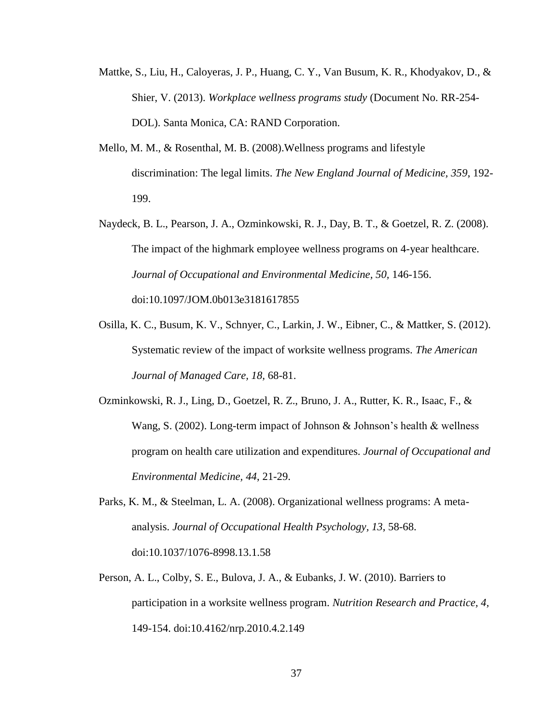- Mattke, S., Liu, H., Caloyeras, J. P., Huang, C. Y., Van Busum, K. R., Khodyakov, D., & Shier, V. (2013). *Workplace wellness programs study* (Document No. RR-254- DOL). Santa Monica, CA: RAND Corporation.
- Mello, M. M., & Rosenthal, M. B. (2008).Wellness programs and lifestyle discrimination: The legal limits. *The New England Journal of Medicine, 359*, 192- 199.
- Naydeck, B. L., Pearson, J. A., Ozminkowski, R. J., Day, B. T., & Goetzel, R. Z. (2008). The impact of the highmark employee wellness programs on 4-year healthcare. *Journal of Occupational and Environmental Medicine, 50,* 146-156. doi:10.1097/JOM.0b013e3181617855
- Osilla, K. C., Busum, K. V., Schnyer, C., Larkin, J. W., Eibner, C., & Mattker, S. (2012). Systematic review of the impact of worksite wellness programs. *The American Journal of Managed Care, 18,* 68-81.
- Ozminkowski, R. J., Ling, D., Goetzel, R. Z., Bruno, J. A., Rutter, K. R., Isaac, F., & Wang, S. (2002). Long-term impact of Johnson & Johnson's health  $&$  wellness program on health care utilization and expenditures. *Journal of Occupational and Environmental Medicine, 44*, 21-29.
- Parks, K. M., & Steelman, L. A. (2008). Organizational wellness programs: A metaanalysis. *Journal of Occupational Health Psychology, 13*, 58-68. doi:10.1037/1076-8998.13.1.58
- Person, A. L., Colby, S. E., Bulova, J. A., & Eubanks, J. W. (2010). Barriers to participation in a worksite wellness program. *Nutrition Research and Practice, 4,* 149-154. doi:10.4162/nrp.2010.4.2.149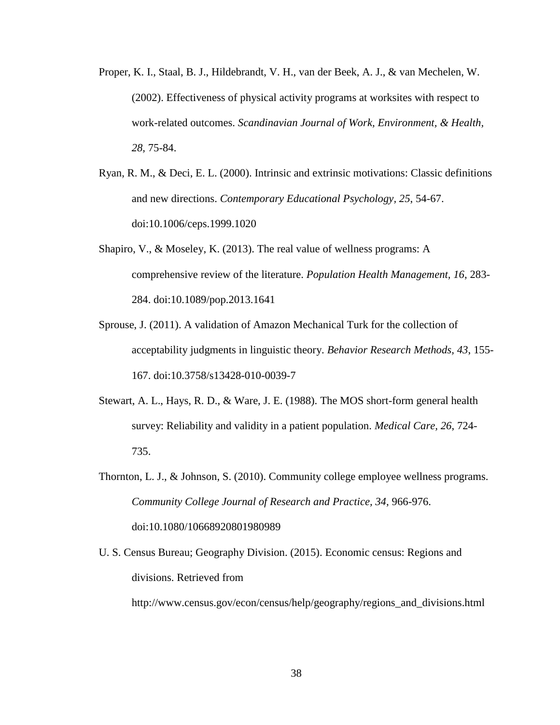- Proper, K. I., Staal, B. J., Hildebrandt, V. H., van der Beek, A. J., & van Mechelen, W. (2002). Effectiveness of physical activity programs at worksites with respect to work-related outcomes. *Scandinavian Journal of Work, Environment, & Health, 28,* 75-84.
- Ryan, R. M., & Deci, E. L. (2000). Intrinsic and extrinsic motivations: Classic definitions and new directions. *Contemporary Educational Psychology, 25*, 54-67. doi:10.1006/ceps.1999.1020
- Shapiro, V., & Moseley, K. (2013). The real value of wellness programs: A comprehensive review of the literature. *Population Health Management, 16*, 283- 284. doi:10.1089/pop.2013.1641
- Sprouse, J. (2011). A validation of Amazon Mechanical Turk for the collection of acceptability judgments in linguistic theory. *Behavior Research Methods, 43*, 155- 167. doi:10.3758/s13428-010-0039-7
- Stewart, A. L., Hays, R. D., & Ware, J. E. (1988). The MOS short-form general health survey: Reliability and validity in a patient population. *Medical Care, 26*, 724- 735.
- Thornton, L. J., & Johnson, S. (2010). Community college employee wellness programs. *Community College Journal of Research and Practice, 34,* 966-976. doi:10.1080/10668920801980989
- U. S. Census Bureau; Geography Division. (2015). Economic census: Regions and divisions. Retrieved from

http://www.census.gov/econ/census/help/geography/regions\_and\_divisions.html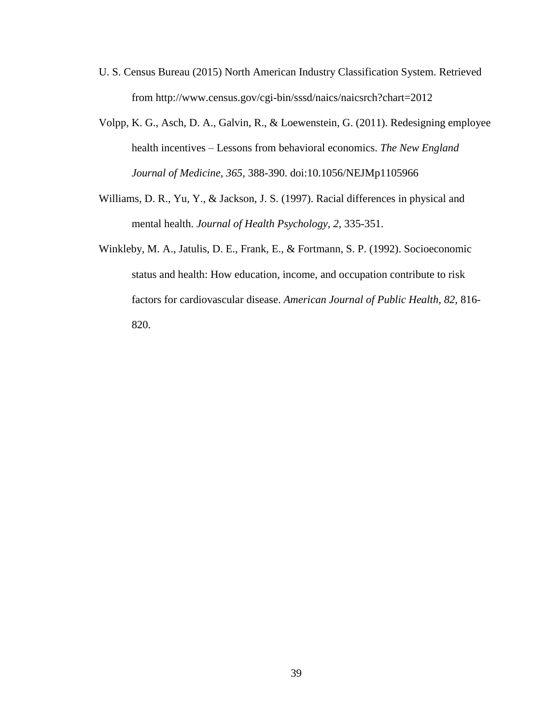- U. S. Census Bureau (2015) North American Industry Classification System. Retrieved from http://www.census.gov/cgi-bin/sssd/naics/naicsrch?chart=2012
- Volpp, K. G., Asch, D. A., Galvin, R., & Loewenstein, G. (2011). Redesigning employee health incentives – Lessons from behavioral economics. *The New England Journal of Medicine, 365,* 388-390. doi:10.1056/NEJMp1105966
- Williams, D. R., Yu, Y., & Jackson, J. S. (1997). Racial differences in physical and mental health. *Journal of Health Psychology, 2*, 335-351.
- Winkleby, M. A., Jatulis, D. E., Frank, E., & Fortmann, S. P. (1992). Socioeconomic status and health: How education, income, and occupation contribute to risk factors for cardiovascular disease. *American Journal of Public Health, 82,* 816- 820.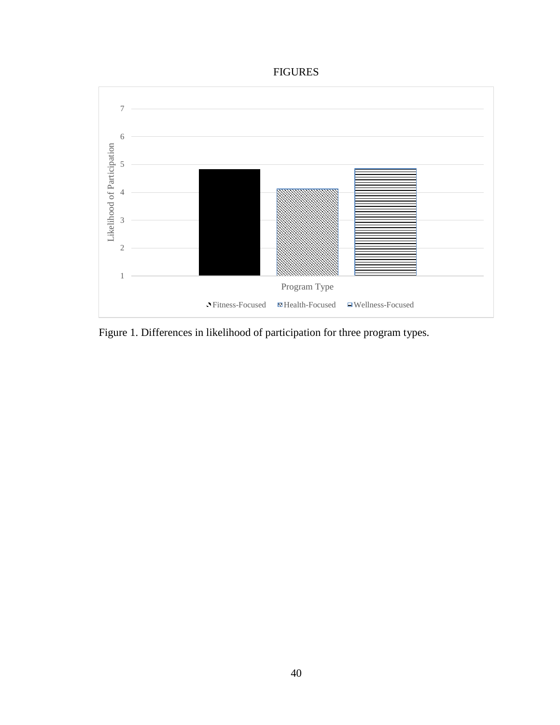# FIGURES



Figure 1. Differences in likelihood of participation for three program types.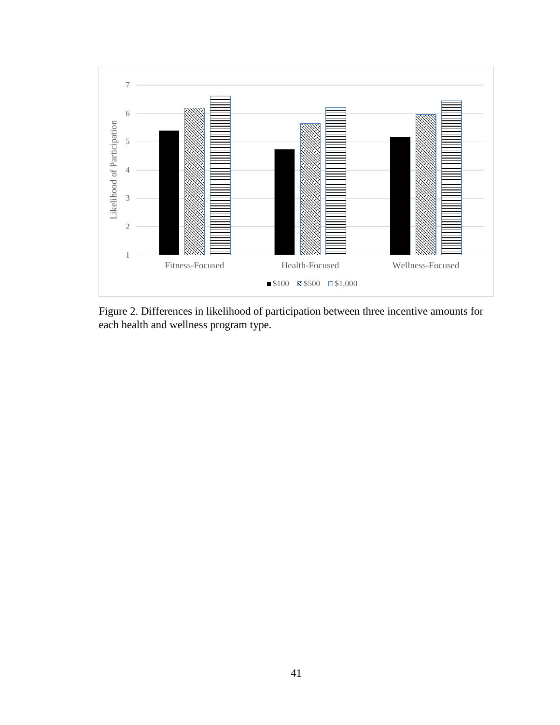

Figure 2. Differences in likelihood of participation between three incentive amounts for each health and wellness program type.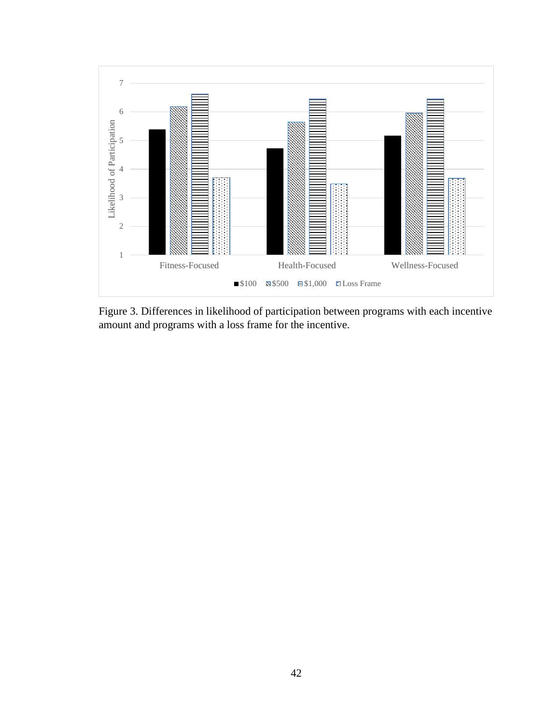

Figure 3. Differences in likelihood of participation between programs with each incentive amount and programs with a loss frame for the incentive.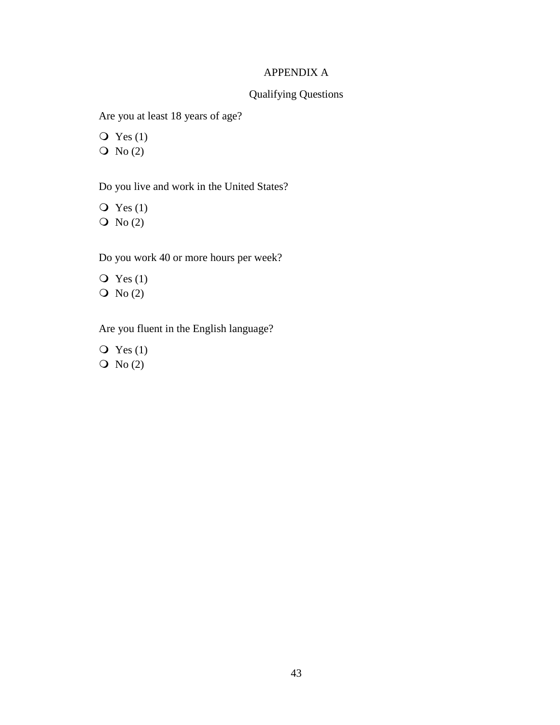# APPENDIX A

# Qualifying Questions

Are you at least 18 years of age?

 $\overline{Q}$  Yes (1)  $\overline{O}$  No (2)

Do you live and work in the United States?

 $\overline{Q}$  Yes (1)  $\overline{O}$  No (2)

Do you work 40 or more hours per week?

 $\overline{Q}$  Yes (1)  $\overline{O}$  No (2)

Are you fluent in the English language?

 $\overline{Q}$  Yes (1)  $\overline{O}$  No (2)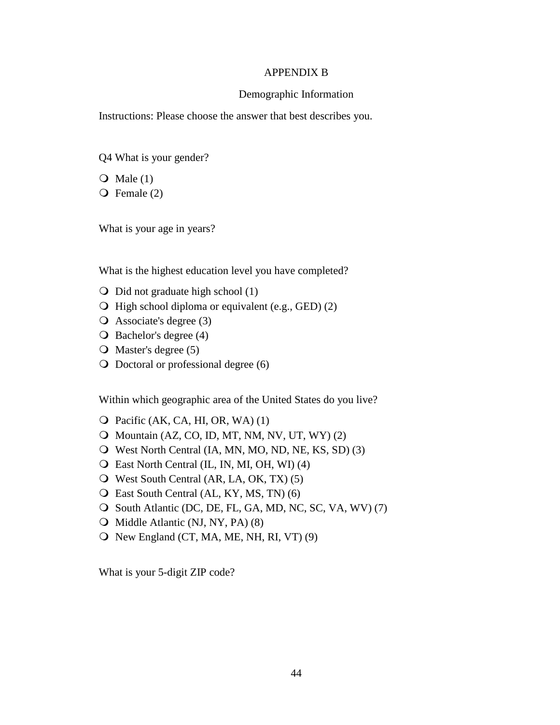#### APPENDIX B

#### Demographic Information

Instructions: Please choose the answer that best describes you.

- Q4 What is your gender?
- $\bullet$  Male (1)
- Female (2)

What is your age in years?

What is the highest education level you have completed?

- $\bigcirc$  Did not graduate high school (1)
- $\bigcirc$  High school diploma or equivalent (e.g., GED) (2)
- Associate's degree (3)
- O Bachelor's degree (4)
- $\overline{O}$  Master's degree (5)
- Doctoral or professional degree (6)

Within which geographic area of the United States do you live?

- $\overline{Q}$  Pacific (AK, CA, HI, OR, WA) (1)
- $\bigcirc$  Mountain (AZ, CO, ID, MT, NM, NV, UT, WY) (2)
- West North Central (IA, MN, MO, ND, NE, KS, SD) (3)
- East North Central (IL, IN, MI, OH, WI) (4)
- West South Central (AR, LA, OK, TX) (5)
- East South Central (AL, KY, MS, TN) (6)
- O South Atlantic (DC, DE, FL, GA, MD, NC, SC, VA, WV) (7)
- O Middle Atlantic (NJ, NY, PA) (8)
- $\overline{O}$  New England (CT, MA, ME, NH, RI, VT) (9)

What is your 5-digit ZIP code?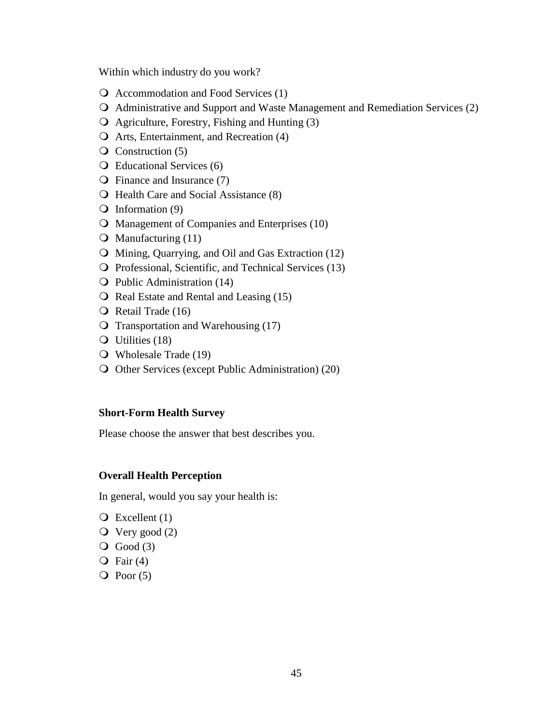Within which industry do you work?

- Q Accommodation and Food Services (1)
- Administrative and Support and Waste Management and Remediation Services (2)
- Agriculture, Forestry, Fishing and Hunting (3)
- Arts, Entertainment, and Recreation (4)
- $\overline{Q}$  Construction (5)
- Educational Services (6)
- Finance and Insurance (7)
- **O** Health Care and Social Assistance (8)
- $\overline{Q}$  Information (9)
- **O** Management of Companies and Enterprises (10)
- $\Omega$  Manufacturing (11)
- Mining, Quarrying, and Oil and Gas Extraction (12)
- Professional, Scientific, and Technical Services (13)
- Q Public Administration (14)
- $\overline{Q}$  Real Estate and Rental and Leasing (15)
- $\overline{Q}$  Retail Trade (16)
- O Transportation and Warehousing (17)
- Q Utilities (18)
- Wholesale Trade (19)
- O Other Services (except Public Administration) (20)

#### **Short-Form Health Survey**

Please choose the answer that best describes you.

## **Overall Health Perception**

In general, would you say your health is:

- $\overline{Q}$  Excellent (1)
- $\overline{Q}$  Very good (2)
- $\overline{Q}$  Good (3)
- $\overline{Q}$  Fair (4)
- $\overline{Q}$  Poor (5)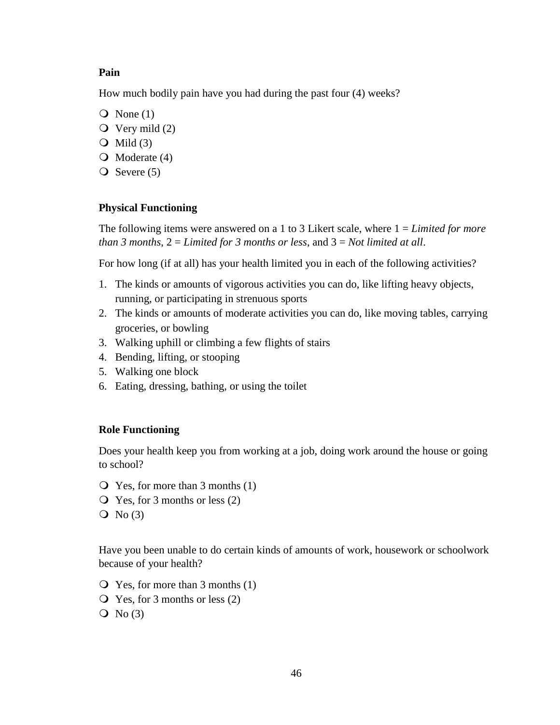### **Pain**

How much bodily pain have you had during the past four (4) weeks?

- $\overline{Q}$  None (1)
- $\overline{Q}$  Very mild (2)
- $\overline{Q}$  Mild (3)
- $\bigcirc$  Moderate (4)
- $\overline{Q}$  Severe (5)

## **Physical Functioning**

The following items were answered on a 1 to 3 Likert scale, where 1 = *Limited for more than 3 months*, 2 = *Limited for 3 months or less*, and 3 = *Not limited at all*.

For how long (if at all) has your health limited you in each of the following activities?

- 1. The kinds or amounts of vigorous activities you can do, like lifting heavy objects, running, or participating in strenuous sports
- 2. The kinds or amounts of moderate activities you can do, like moving tables, carrying groceries, or bowling
- 3. Walking uphill or climbing a few flights of stairs
- 4. Bending, lifting, or stooping
- 5. Walking one block
- 6. Eating, dressing, bathing, or using the toilet

#### **Role Functioning**

Does your health keep you from working at a job, doing work around the house or going to school?

- Yes, for more than 3 months (1)
- Yes, for 3 months or less (2)
- $\overline{Q}$  No (3)

Have you been unable to do certain kinds of amounts of work, housework or schoolwork because of your health?

- Yes, for more than 3 months (1)
- Yes, for 3 months or less (2)
- $Q \text{No} (3)$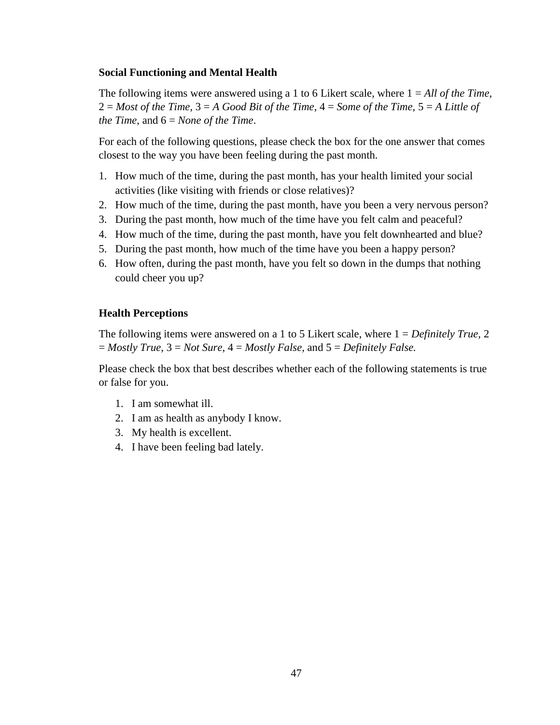## **Social Functioning and Mental Health**

The following items were answered using a 1 to 6 Likert scale, where 1 = *All of the Time*, 2 = *Most of the Time*, 3 = *A Good Bit of the Time*, 4 = *Some of the Time*, 5 = *A Little of the Time*, and 6 = *None of the Time*.

For each of the following questions, please check the box for the one answer that comes closest to the way you have been feeling during the past month.

- 1. How much of the time, during the past month, has your health limited your social activities (like visiting with friends or close relatives)?
- 2. How much of the time, during the past month, have you been a very nervous person?
- 3. During the past month, how much of the time have you felt calm and peaceful?
- 4. How much of the time, during the past month, have you felt downhearted and blue?
- 5. During the past month, how much of the time have you been a happy person?
- 6. How often, during the past month, have you felt so down in the dumps that nothing could cheer you up?

# **Health Perceptions**

The following items were answered on a 1 to 5 Likert scale, where 1 = *Definitely True,* 2 = *Mostly True,* 3 = *Not Sure,* 4 = *Mostly False,* and 5 = *Definitely False.* 

Please check the box that best describes whether each of the following statements is true or false for you.

- 1. I am somewhat ill.
- 2. I am as health as anybody I know.
- 3. My health is excellent.
- 4. I have been feeling bad lately.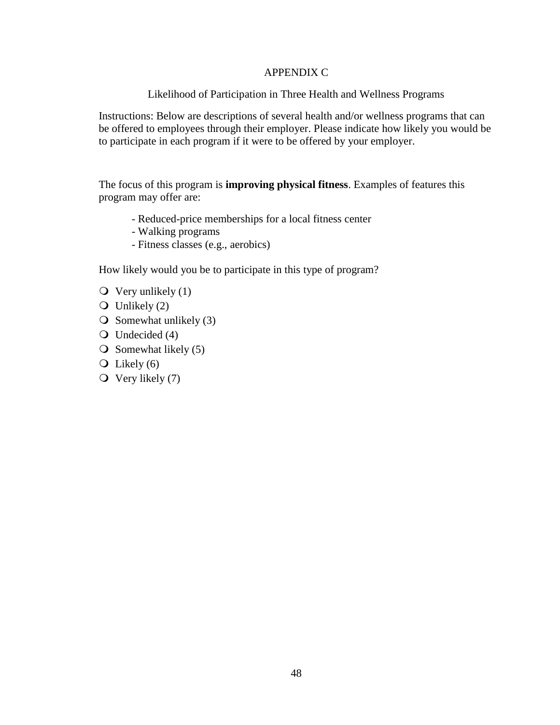## APPENDIX C

Likelihood of Participation in Three Health and Wellness Programs

Instructions: Below are descriptions of several health and/or wellness programs that can be offered to employees through their employer. Please indicate how likely you would be to participate in each program if it were to be offered by your employer.

The focus of this program is **improving physical fitness**. Examples of features this program may offer are:

- Reduced-price memberships for a local fitness center
- Walking programs
- Fitness classes (e.g., aerobics)

How likely would you be to participate in this type of program?

- $\overline{Q}$  Very unlikely (1)
- $\overline{O}$  Unlikely (2)
- $\overline{O}$  Somewhat unlikely (3)
- $\bigcirc$  Undecided (4)
- $\overline{O}$  Somewhat likely (5)
- $\overline{Q}$  Likely (6)
- $\overline{O}$  Very likely (7)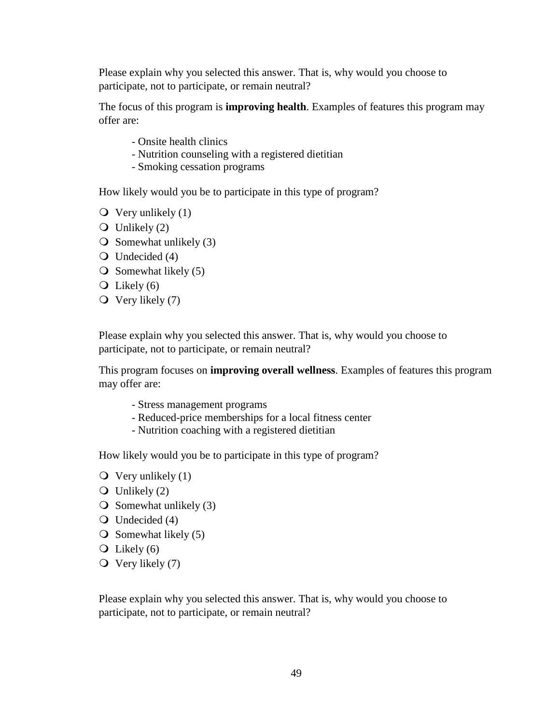Please explain why you selected this answer. That is, why would you choose to participate, not to participate, or remain neutral?

The focus of this program is **improving health**. Examples of features this program may offer are:

- Onsite health clinics
- Nutrition counseling with a registered dietitian
- Smoking cessation programs

How likely would you be to participate in this type of program?

- $\overline{Q}$  Very unlikely (1)
- $\bigcirc$  Unlikely (2)
- $\bigcirc$  Somewhat unlikely (3)
- $\bigcirc$  Undecided (4)
- $\overline{O}$  Somewhat likely (5)
- $\overline{Q}$  Likely (6)
- $\overline{Q}$  Very likely (7)

Please explain why you selected this answer. That is, why would you choose to participate, not to participate, or remain neutral?

This program focuses on **improving overall wellness**. Examples of features this program may offer are:

- Stress management programs
- Reduced-price memberships for a local fitness center
- Nutrition coaching with a registered dietitian

How likely would you be to participate in this type of program?

- $\overline{Q}$  Very unlikely (1)
- $\overline{Q}$  Unlikely (2)
- $\overline{O}$  Somewhat unlikely (3)
- $\bigcirc$  Undecided (4)
- $\overline{O}$  Somewhat likely (5)
- $\overline{Q}$  Likely (6)
- $\overline{O}$  Very likely (7)

Please explain why you selected this answer. That is, why would you choose to participate, not to participate, or remain neutral?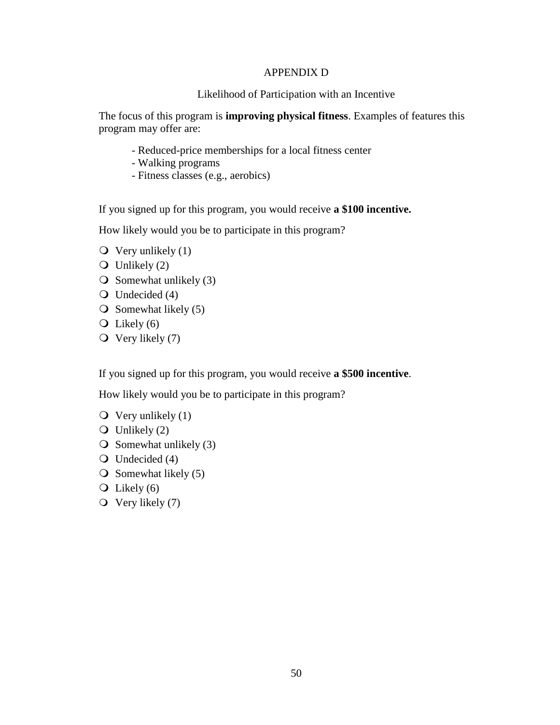## APPENDIX D

## Likelihood of Participation with an Incentive

The focus of this program is **improving physical fitness**. Examples of features this program may offer are:

- Reduced-price memberships for a local fitness center
- Walking programs
- Fitness classes (e.g., aerobics)

If you signed up for this program, you would receive **a \$100 incentive.**

How likely would you be to participate in this program?

- $\bullet$  Very unlikely (1)
- $\overline{O}$  Unlikely (2)
- $\overline{O}$  Somewhat unlikely (3)
- $\bigcirc$  Undecided (4)
- $\overline{O}$  Somewhat likely (5)
- $\overline{Q}$  Likely (6)
- $\overline{Q}$  Very likely (7)

If you signed up for this program, you would receive **a \$500 incentive**.

How likely would you be to participate in this program?

- $\overline{Q}$  Very unlikely (1)
- $\overline{O}$  Unlikely (2)
- $\overline{O}$  Somewhat unlikely (3)
- $\bigcirc$  Undecided (4)
- $\overline{O}$  Somewhat likely (5)
- $\overline{Q}$  Likely (6)
- $\overline{O}$  Very likely (7)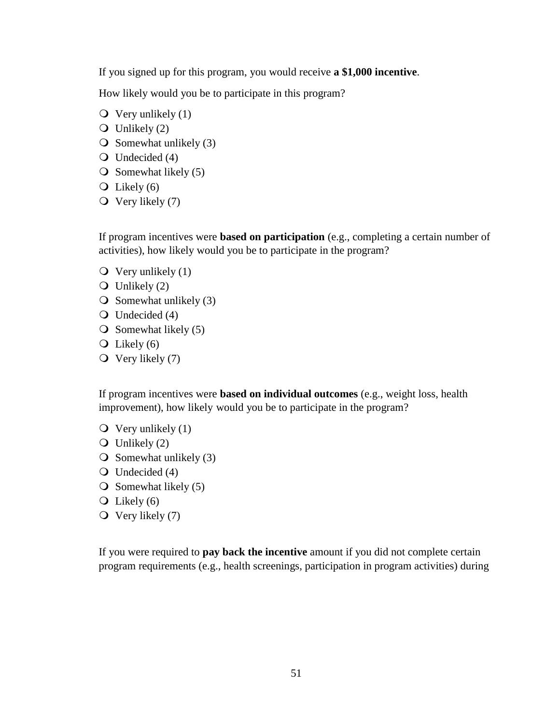If you signed up for this program, you would receive **a \$1,000 incentive**.

How likely would you be to participate in this program?

- $\overline{Q}$  Very unlikely (1)
- $\overline{O}$  Unlikely (2)
- $\overline{O}$  Somewhat unlikely (3)
- $\bigcirc$  Undecided (4)
- $\overline{O}$  Somewhat likely (5)
- $\overline{Q}$  Likely (6)
- $\overline{Q}$  Very likely (7)

If program incentives were **based on participation** (e.g., completing a certain number of activities), how likely would you be to participate in the program?

- $\overline{Q}$  Very unlikely (1)
- $\bigcirc$  Unlikely (2)
- $\overline{O}$  Somewhat unlikely (3)
- $\bigcirc$  Undecided (4)
- $\overline{O}$  Somewhat likely (5)
- $\overline{Q}$  Likely (6)
- $\overline{O}$  Very likely (7)

If program incentives were **based on individual outcomes** (e.g., weight loss, health improvement), how likely would you be to participate in the program?

- $\overline{Q}$  Very unlikely (1)
- $\overline{Q}$  Unlikely (2)
- $\overline{O}$  Somewhat unlikely (3)
- Q Undecided (4)
- $\overline{O}$  Somewhat likely (5)
- $\overline{Q}$  Likely (6)
- $\overline{Q}$  Very likely (7)

If you were required to **pay back the incentive** amount if you did not complete certain program requirements (e.g., health screenings, participation in program activities) during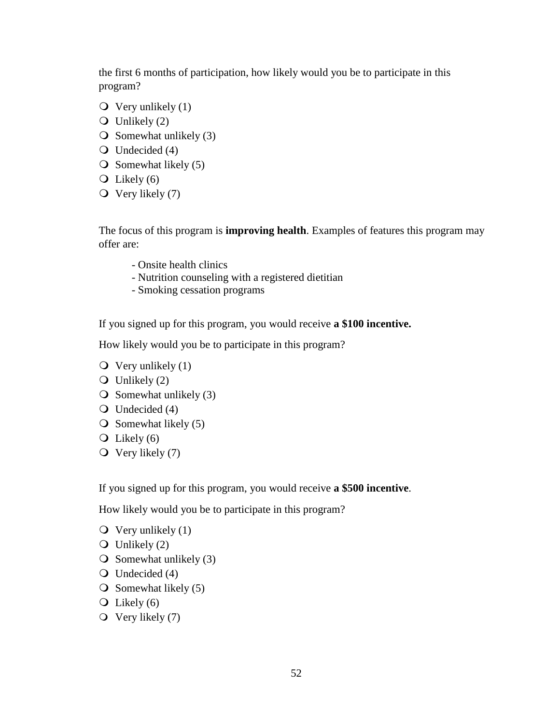the first 6 months of participation, how likely would you be to participate in this program?

- $\overline{Q}$  Very unlikely (1)
- $\overline{Q}$  Unlikely (2)
- $\overline{O}$  Somewhat unlikely (3)
- Undecided (4)
- $\overline{O}$  Somewhat likely (5)
- $\overline{Q}$  Likely (6)
- $\overline{Q}$  Very likely (7)

The focus of this program is **improving health**. Examples of features this program may offer are:

- Onsite health clinics
- Nutrition counseling with a registered dietitian
- Smoking cessation programs

If you signed up for this program, you would receive **a \$100 incentive.**

How likely would you be to participate in this program?

- $\overline{Q}$  Very unlikely (1)
- $\overline{O}$  Unlikely (2)
- $\overline{O}$  Somewhat unlikely (3)
- Q Undecided (4)
- $\overline{O}$  Somewhat likely (5)
- $\overline{Q}$  Likely (6)
- $\overline{Q}$  Very likely (7)

If you signed up for this program, you would receive **a \$500 incentive**.

How likely would you be to participate in this program?

- $\overline{Q}$  Very unlikely (1)
- $\overline{Q}$  Unlikely (2)
- $\overline{O}$  Somewhat unlikely (3)
- $\bigcirc$  Undecided (4)
- $\overline{O}$  Somewhat likely (5)
- $\overline{Q}$  Likely (6)
- $\overline{O}$  Very likely (7)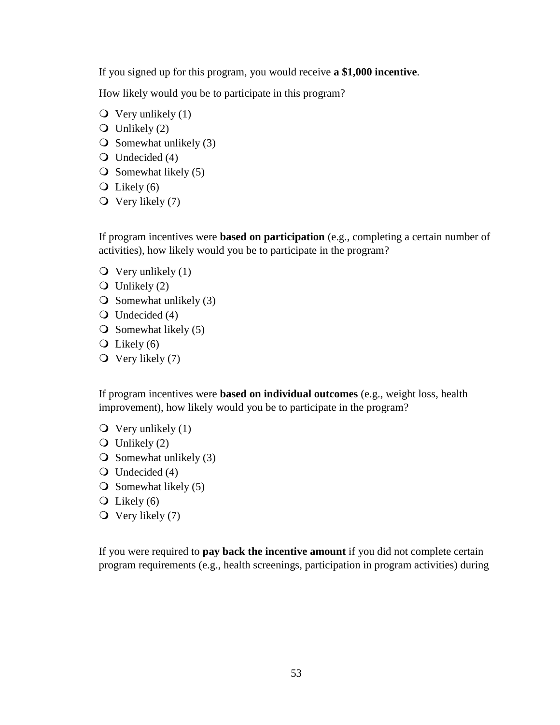If you signed up for this program, you would receive **a \$1,000 incentive**.

How likely would you be to participate in this program?

- $\overline{Q}$  Very unlikely (1)
- $\overline{O}$  Unlikely (2)
- $\overline{O}$  Somewhat unlikely (3)
- $\bigcirc$  Undecided (4)
- $\overline{O}$  Somewhat likely (5)
- $\overline{Q}$  Likely (6)
- $\overline{Q}$  Very likely (7)

If program incentives were **based on participation** (e.g., completing a certain number of activities), how likely would you be to participate in the program?

- $\overline{Q}$  Very unlikely (1)
- $\overline{O}$  Unlikely (2)
- $\overline{O}$  Somewhat unlikely (3)
- $\bigcirc$  Undecided (4)
- $\overline{O}$  Somewhat likely (5)
- $\overline{Q}$  Likely (6)
- $\overline{O}$  Very likely (7)

If program incentives were **based on individual outcomes** (e.g., weight loss, health improvement), how likely would you be to participate in the program?

- $\overline{Q}$  Very unlikely (1)
- $\overline{Q}$  Unlikely (2)
- $\overline{O}$  Somewhat unlikely (3)
- Q Undecided (4)
- $\overline{O}$  Somewhat likely (5)
- $\overline{Q}$  Likely (6)
- $\overline{Q}$  Very likely (7)

If you were required to **pay back the incentive amount** if you did not complete certain program requirements (e.g., health screenings, participation in program activities) during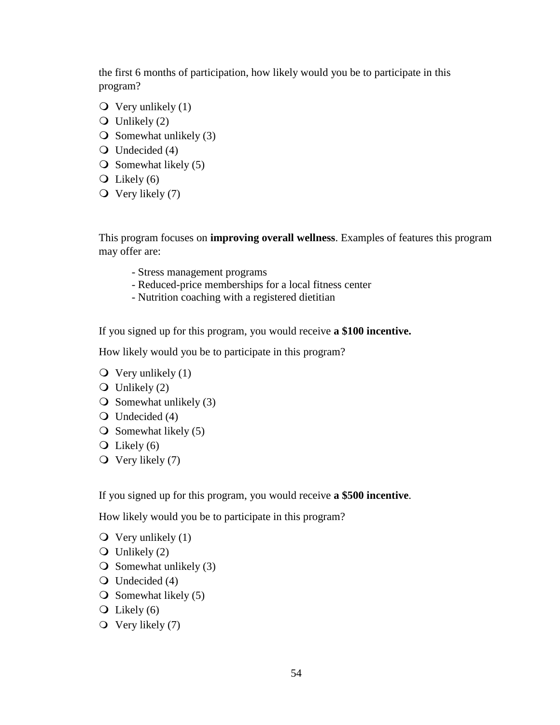the first 6 months of participation, how likely would you be to participate in this program?

- $\overline{Q}$  Very unlikely (1)
- $\overline{Q}$  Unlikely (2)
- $\overline{O}$  Somewhat unlikely (3)
- Undecided (4)
- $\overline{O}$  Somewhat likely (5)
- $\overline{O}$  Likely (6)
- $\overline{Q}$  Very likely (7)

This program focuses on **improving overall wellness**. Examples of features this program may offer are:

- Stress management programs
- Reduced-price memberships for a local fitness center
- Nutrition coaching with a registered dietitian

If you signed up for this program, you would receive **a \$100 incentive.**

How likely would you be to participate in this program?

- $\overline{Q}$  Very unlikely (1)
- $\overline{O}$  Unlikely (2)
- $\overline{O}$  Somewhat unlikely (3)
- Q Undecided (4)
- $\overline{O}$  Somewhat likely (5)
- $\overline{Q}$  Likely (6)
- $\overline{Q}$  Very likely (7)

If you signed up for this program, you would receive **a \$500 incentive**.

How likely would you be to participate in this program?

- $\overline{Q}$  Very unlikely (1)
- $\overline{O}$  Unlikely (2)
- $\overline{O}$  Somewhat unlikely (3)
- $\bigcirc$  Undecided (4)
- $\overline{O}$  Somewhat likely (5)
- $\overline{Q}$  Likely (6)
- $\overline{Q}$  Very likely (7)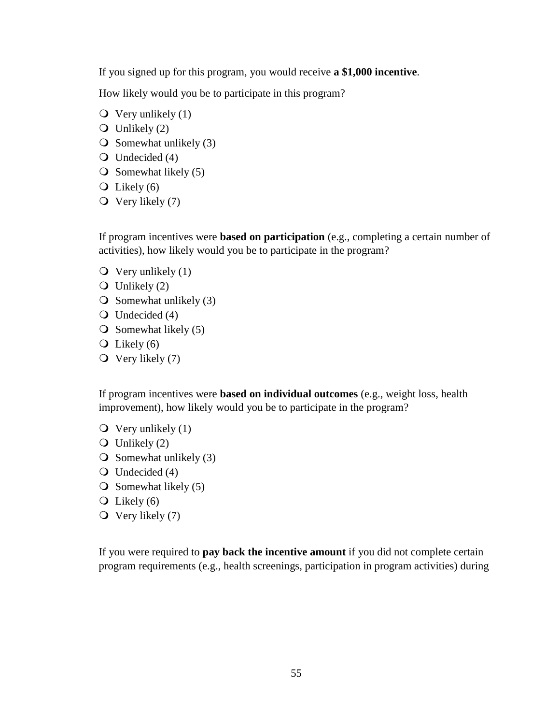If you signed up for this program, you would receive **a \$1,000 incentive**.

How likely would you be to participate in this program?

- $\overline{Q}$  Very unlikely (1)
- $\overline{O}$  Unlikely (2)
- $\overline{O}$  Somewhat unlikely (3)
- $\bigcirc$  Undecided (4)
- $\overline{O}$  Somewhat likely (5)
- $\overline{Q}$  Likely (6)
- $\overline{Q}$  Very likely (7)

If program incentives were **based on participation** (e.g., completing a certain number of activities), how likely would you be to participate in the program?

- $\overline{Q}$  Very unlikely (1)
- $\bigcirc$  Unlikely (2)
- $\overline{O}$  Somewhat unlikely (3)
- $\bigcirc$  Undecided (4)
- $\overline{O}$  Somewhat likely (5)
- $\overline{Q}$  Likely (6)
- $\overline{O}$  Very likely (7)

If program incentives were **based on individual outcomes** (e.g., weight loss, health improvement), how likely would you be to participate in the program?

- $\overline{Q}$  Very unlikely (1)
- $\overline{Q}$  Unlikely (2)
- $\overline{O}$  Somewhat unlikely (3)
- Q Undecided (4)
- $\overline{O}$  Somewhat likely (5)
- $\overline{Q}$  Likely (6)
- $\overline{Q}$  Very likely (7)

If you were required to **pay back the incentive amount** if you did not complete certain program requirements (e.g., health screenings, participation in program activities) during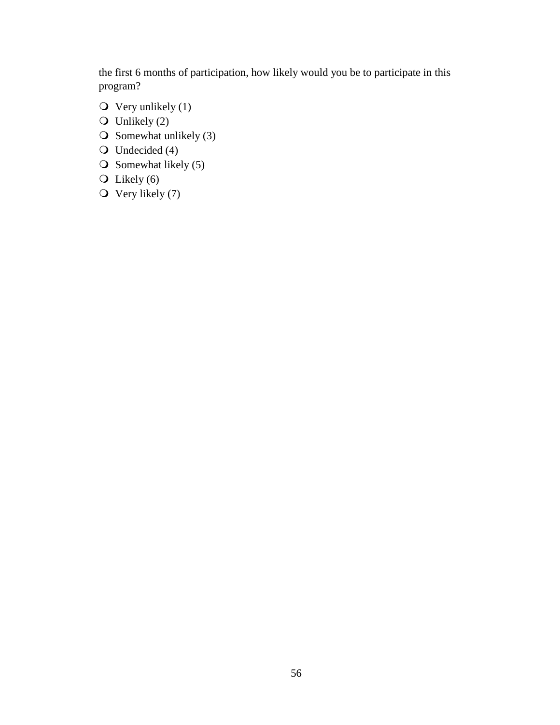the first 6 months of participation, how likely would you be to participate in this program?

- $\overline{Q}$  Very unlikely (1)
- $\overline{O}$  Unlikely (2)
- $\overline{O}$  Somewhat unlikely (3)
- $\bigcirc$  Undecided (4)
- $\overline{O}$  Somewhat likely (5)
- $\overline{O}$  Likely (6)
- $\overline{O}$  Very likely (7)